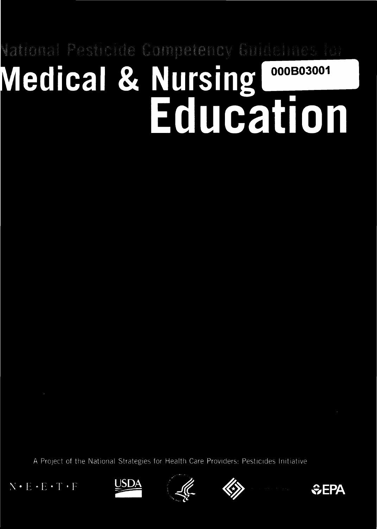# ational Pesticide Compateracy Guidenesses (u) **Medical & Nursing** 000B03001 Education

A Project of the National Strategies for Health Care Providers: Pesticides Initiative

 $N \cdot E \cdot E \cdot T \cdot F$ 







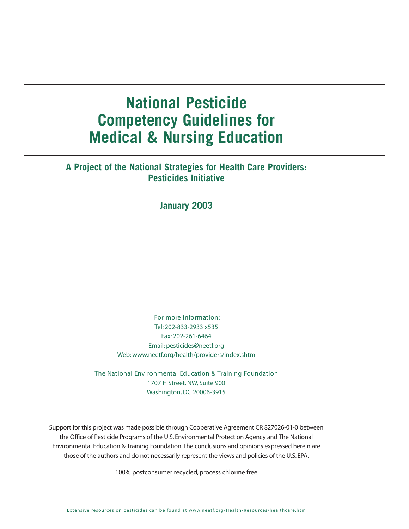# **National Pesticide Competency Guidelines for Medical & Nursing Education**

# **A Project of the National Strategies for Health Care Providers: Pesticides Initiative**

# **January 2003**

For more information: Tel: 202-833-2933 x535 Fax: 202-261-6464 Email: pesticides@neetf.org Web: [www.neetf.org/health/providers/index.shtm](http://www.neetf.org/health/providers/index.shtm)

The National Environmental Education & Training Foundation 1707 H Street, NW, Suite 900 Washington, DC 20006-3915

Support for this project was made possible through Cooperative Agreement CR 827026-01-0 between the Office of Pesticide Programs of the U.S. Environmental Protection Agency and The National Environmental Education & Training Foundation.The conclusions and opinions expressed herein are those of the authors and do not necessarily represent the views and policies of the U.S. EPA.

100% postconsumer recycled, process chlorine free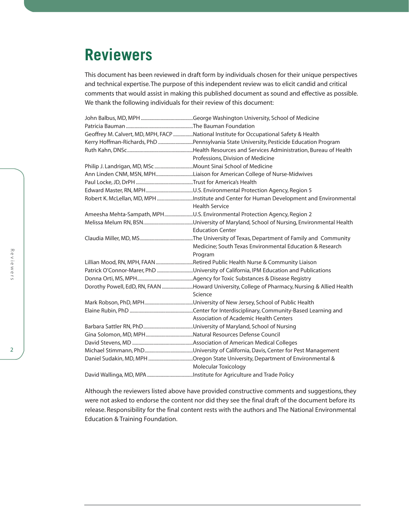# **Reviewers**

This document has been reviewed in draft form by individuals chosen for their unique perspectives and technical expertise. The purpose of this independent review was to elicit candid and critical comments that would assist in making this published document as sound and effective as possible. We thank the following individuals for their review of this document:

|                                                             | Geoffrey M. Calvert, MD, MPH, FACP National Institute for Occupational Safety & Health                            |
|-------------------------------------------------------------|-------------------------------------------------------------------------------------------------------------------|
|                                                             | Kerry Hoffman-Richards, PhD Pennsylvania State University, Pesticide Education Program                            |
|                                                             |                                                                                                                   |
|                                                             | Professions, Division of Medicine                                                                                 |
| Philip J. Landrigan, MD, MSc Mount Sinai School of Medicine |                                                                                                                   |
|                                                             | Ann Linden CNM, MSN, MPHLiaison for American College of Nurse-Midwives                                            |
|                                                             |                                                                                                                   |
|                                                             |                                                                                                                   |
|                                                             | Robert K. McLellan, MD, MPH Institute and Center for Human Development and Environmental<br><b>Health Service</b> |
|                                                             | Ameesha Mehta-Sampath, MPHU.S. Environmental Protection Agency, Region 2                                          |
|                                                             | <b>Education Center</b>                                                                                           |
|                                                             | Medicine; South Texas Environmental Education & Research<br>Program                                               |
|                                                             | Lillian Mood, RN, MPH, FAAN Retired Public Health Nurse & Community Liaison                                       |
|                                                             | Patrick O'Connor-Marer, PhD University of California, IPM Education and Publications                              |
|                                                             |                                                                                                                   |
|                                                             | Dorothy Powell, EdD, RN, FAAN Howard University, College of Pharmacy, Nursing & Allied Health<br>Science          |
|                                                             |                                                                                                                   |
|                                                             |                                                                                                                   |
|                                                             | Association of Academic Health Centers                                                                            |
|                                                             |                                                                                                                   |
|                                                             |                                                                                                                   |
|                                                             |                                                                                                                   |
|                                                             |                                                                                                                   |
|                                                             |                                                                                                                   |
|                                                             | <b>Molecular Toxicology</b>                                                                                       |
|                                                             |                                                                                                                   |

Although the reviewers listed above have provided constructive comments and suggestions, they were not asked to endorse the content nor did they see the final draft of the document before its release. Responsibility for the final content rests with the authors and The National Environmental Education & Training Foundation.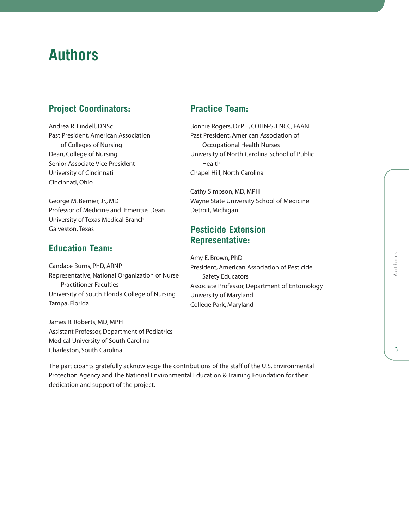# **Authors**

# **Project Coordinators:**

Andrea R. Lindell, DNSc Past President, American Association of Colleges of Nursing Dean, College of Nursing Senior Associate Vice President University of Cincinnati Cincinnati, Ohio

George M. Bernier, Jr., MD Professor of Medicine and Emeritus Dean University of Texas Medical Branch Galveston, Texas

# **Education Team:**

Candace Burns, PhD, ARNP Representative, National Organization of Nurse Practitioner Faculties University of South Florida College of Nursing Tampa, Florida

James R. Roberts, MD, MPH Assistant Professor, Department of Pediatrics Medical University of South Carolina Charleston, South Carolina

dedication and support of the project.

# **Practice Team:**

Bonnie Rogers, Dr.PH, COHN-S, LNCC, FAAN Past President, American Association of Occupational Health Nurses University of North Carolina School of Public Health Chapel Hill, North Carolina

Cathy Simpson, MD, MPH Wayne State University School of Medicine Detroit, Michigan

# **Pesticide Extension Representative:**

The participants gratefully acknowledge the contributions of the staff of the U.S. Environmental Protection Agency and The National Environmental Education & Training Foundation for their

Amy E. Brown, PhD President, American Association of Pesticide Safety Educators Associate Professor, Department of Entomology University of Maryland College Park, Maryland

Authors Authors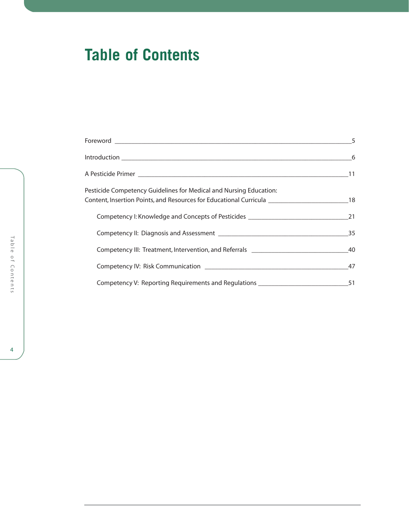# **Table of Contents**

| Content, Insertion Points, and Resources for Educational Curricula ______________________________18             |
|-----------------------------------------------------------------------------------------------------------------|
|                                                                                                                 |
|                                                                                                                 |
|                                                                                                                 |
| Competency IV: Risk Communication 2008 2012 2020 2021 2022 2023 2024 2020 2021 2022 2023 2024 2022 2022 2023 20 |
|                                                                                                                 |
|                                                                                                                 |

Table of Contents able of Contents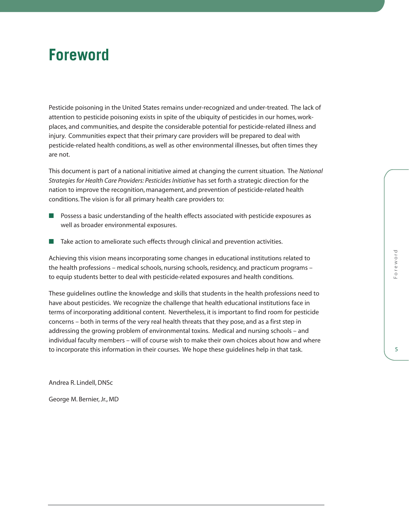# **Foreword**

Pesticide poisoning in the United States remains under-recognized and under-treated. The lack of attention to pesticide poisoning exists in spite of the ubiquity of pesticides in our homes, workplaces, and communities, and despite the considerable potential for pesticide-related illness and injury. Communities expect that their primary care providers will be prepared to deal with pesticide-related health conditions, as well as other environmental illnesses, but often times they are not.

This document is part of a national initiative aimed at changing the current situation. The *National Strategies for Health Care Providers: Pesticides Initiative* has set forth a strategic direction for the nation to improve the recognition, management, and prevention of pesticide-related health conditions. The vision is for all primary health care providers to:

- Possess a basic understanding of the health effects associated with pesticide exposures as well as broader environmental exposures.
- Take action to ameliorate such effects through clinical and prevention activities.

Achieving this vision means incorporating some changes in educational institutions related to the health professions – medical schools, nursing schools, residency, and practicum programs – to equip students better to deal with pesticide-related exposures and health conditions.

These guidelines outline the knowledge and skills that students in the health professions need to have about pesticides. We recognize the challenge that health educational institutions face in terms of incorporating additional content. Nevertheless, it is important to find room for pesticide concerns – both in terms of the very real health threats that they pose, and as a first step in addressing the growing problem of environmental toxins. Medical and nursing schools – and individual faculty members – will of course wish to make their own choices about how and where to incorporate this information in their courses. We hope these guidelines help in that task.

Andrea R. Lindell, DNSc

George M. Bernier, Jr., MD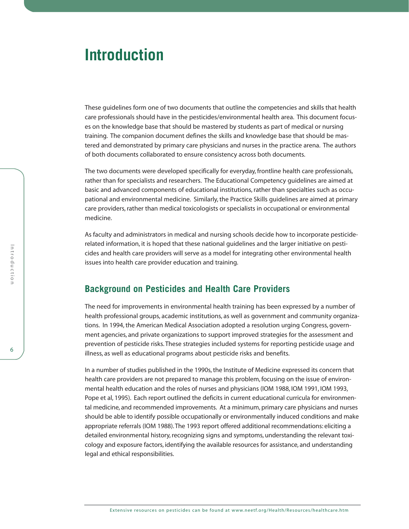# **Introduction**

These guidelines form one of two documents that outline the competencies and skills that health care professionals should have in the pesticides/environmental health area. This document focuses on the knowledge base that should be mastered by students as part of medical or nursing training. The companion document defines the skills and knowledge base that should be mastered and demonstrated by primary care physicians and nurses in the practice arena. The authors of both documents collaborated to ensure consistency across both documents.

The two documents were developed specifically for everyday, frontline health care professionals, rather than for specialists and researchers. The Educational Competency guidelines are aimed at basic and advanced components of educational institutions, rather than specialties such as occupational and environmental medicine. Similarly, the Practice Skills guidelines are aimed at primary care providers, rather than medical toxicologists or specialists in occupational or environmental medicine.

As faculty and administrators in medical and nursing schools decide how to incorporate pesticiderelated information, it is hoped that these national guidelines and the larger initiative on pesticides and health care providers will serve as a model for integrating other environmental health issues into health care provider education and training.

# **Background on Pesticides and Health Care Providers**

The need for improvements in environmental health training has been expressed by a number of health professional groups, academic institutions, as well as government and community organizations. In 1994, the American Medical Association adopted a resolution urging Congress, government agencies, and private organizations to support improved strategies for the assessment and prevention of pesticide risks. These strategies included systems for reporting pesticide usage and illness, as well as educational programs about pesticide risks and benefits.

In a number of studies published in the 1990s, the Institute of Medicine expressed its concern that health care providers are not prepared to manage this problem, focusing on the issue of environmental health education and the roles of nurses and physicians (IOM 1988, IOM 1991, IOM 1993, Pope et al, 1995). Each report outlined the deficits in current educational curricula for environmental medicine, and recommended improvements. At a minimum, primary care physicians and nurses should be able to identify possible occupationally or environmentally induced conditions and make appropriate referrals (IOM 1988). The 1993 report offered additional recommendations: eliciting a detailed environmental history, recognizing signs and symptoms, understanding the relevant toxicology and exposure factors, identifying the available resources for assistance, and understanding legal and ethical responsibilities.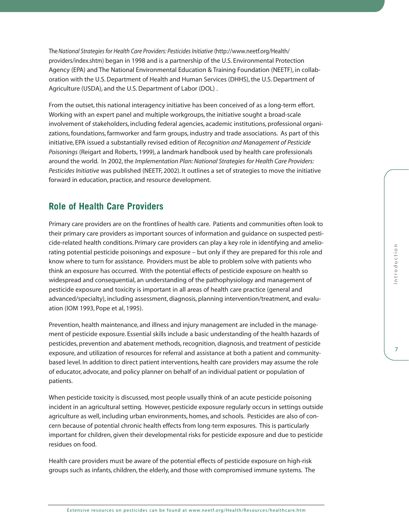The*National Strategies for Health Care Providers: Pesticides Initiative* [\(http://www.neetf.org/Health/](http://www.neetf.org/Health/providers/index.shtm) [providers/index.shtm\) b](http://www.neetf.org/Health/providers/index.shtm)egan in 1998 and is a partnership of the U.S. Environmental Protection Agency (EPA) and The National Environmental Education & Training Foundation (NEETF), in collaboration with the U.S. Department of Health and Human Services (DHHS), the U.S. Department of Agriculture (USDA), and the U.S. Department of Labor (DOL) .

From the outset, this national interagency initiative has been conceived of as a long-term effort. Working with an expert panel and multiple workgroups, the initiative sought a broad-scale involvement of stakeholders, including federal agencies, academic institutions, professional organizations, foundations, farmworker and farm groups, industry and trade associations. As part of this initiative, EPA issued a substantially revised edition of *Recognition and Management of Pesticide Poisonings* (Reigart and Roberts, 1999), a landmark handbook used by health care professionals around the world. In 2002, the *Implementation Plan: National Strategies for Health Care Providers: Pesticides Initiative* was published (NEETF, 2002). It outlines a set of strategies to move the initiative forward in education, practice, and resource development.

# **Role of Health Care Providers**

Primary care providers are on the frontlines of health care. Patients and communities often look to their primary care providers as important sources of information and guidance on suspected pesticide-related health conditions. Primary care providers can play a key role in identifying and ameliorating potential pesticide poisonings and exposure – but only if they are prepared for this role and know where to turn for assistance. Providers must be able to problem solve with patients who think an exposure has occurred. With the potential effects of pesticide exposure on health so widespread and consequential, an understanding of the pathophysiology and management of pesticide exposure and toxicity is important in all areas of health care practice (general and advanced/specialty), including assessment, diagnosis, planning intervention/treatment, and evaluation (IOM 1993, Pope et al, 1995).

Prevention, health maintenance, and illness and injury management are included in the management of pesticide exposure. Essential skills include a basic understanding of the health hazards of pesticides, prevention and abatement methods, recognition, diagnosis, and treatment of pesticide exposure, and utilization of resources for referral and assistance at both a patient and communitybased level. In addition to direct patient interventions, health care providers may assume the role of educator, advocate, and policy planner on behalf of an individual patient or population of patients.

When pesticide toxicity is discussed, most people usually think of an acute pesticide poisoning incident in an agricultural setting. However, pesticide exposure regularly occurs in settings outside agriculture as well, including urban environments, homes, and schools. Pesticides are also of concern because of potential chronic health effects from long-term exposures. This is particularly important for children, given their developmental risks for pesticide exposure and due to pesticide residues on food.

Health care providers must be aware of the potential effects of pesticide exposure on high-risk groups such as infants, children, the elderly, and those with compromised immune systems. The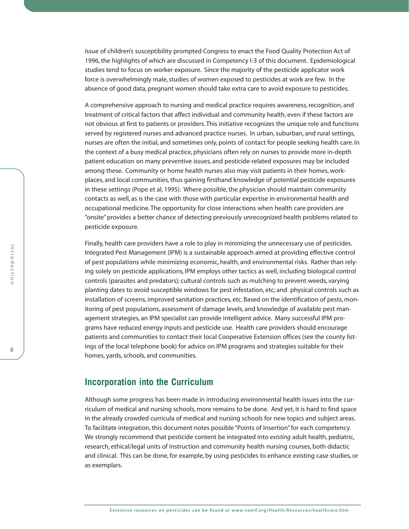issue of children's susceptibility prompted Congress to enact the Food Quality Protection Act of 1996, the highlights of which are discussed in Competency I-3 of this document. Epidemiological studies tend to focus on worker exposure. Since the majority of the pesticide applicator work force is overwhelmingly male, studies of women exposed to pesticides at work are few. In the absence of good data, pregnant women should take extra care to avoid exposure to pesticides.

A comprehensive approach to nursing and medical practice requires awareness, recognition, and treatment of critical factors that affect individual and community health, even if these factors are not obvious at first to patients or providers. This initiative recognizes the unique role and functions served by registered nurses and advanced practice nurses. In urban, suburban, and rural settings, nurses are often the initial, and sometimes only, points of contact for people seeking health care. In the context of a busy medical practice, physicians often rely on nurses to provide more in-depth patient education on many preventive issues, and pesticide-related exposures may be included among these. Community or home health nurses also may visit patients in their homes, workplaces, and local communities, thus gaining firsthand knowledge of potential pesticide exposures in these settings (Pope et al, 1995). Where possible, the physician should maintain community contacts as well, as is the case with those with particular expertise in environmental health and occupational medicine. The opportunity for close interactions when health care providers are "onsite" provides a better chance of detecting previously unrecognized health problems related to pesticide exposure.

Finally, health care providers have a role to play in minimizing the unnecessary use of pesticides. Integrated Pest Management (IPM) is a sustainable approach aimed at providing effective control of pest populations while minimizing economic, health, and environmental risks. Rather than relying solely on pesticide applications, IPM employs other tactics as well, including biological control controls (parasites and predators); cultural controls such as mulching to prevent weeds, varying planting dates to avoid susceptible windows for pest infestation, etc; and physical controls such as installation of screens, improved sanitation practices, etc. Based on the identification of pests, monitoring of pest populations, assessment of damage levels, and knowledge of available pest management strategies, an IPM specialist can provide intelligent advice. Many successful IPM programs have reduced energy inputs and pesticide use. Health care providers should encourage patients and communities to contact their local Cooperative Extension offices (see the county listings of the local telephone book) for advice on IPM programs and strategies suitable for their homes, yards, schools, and communities.

# **Incorporation into the Curriculum**

Although some progress has been made in introducing environmental health issues into the curriculum of medical and nursing schools, more remains to be done. And yet, it is hard to find space in the already crowded curricula of medical and nursing schools for new topics and subject areas. To facilitate integration, this document notes possible "Points of Insertion" for each competency. We strongly recommend that pesticide content be integrated into *existing* adult health, pediatric, research, ethical/legal units of instruction and community health nursing courses, both didactic and clinical. This can be done, for example, by using pesticides to enhance existing case studies, or as exemplars.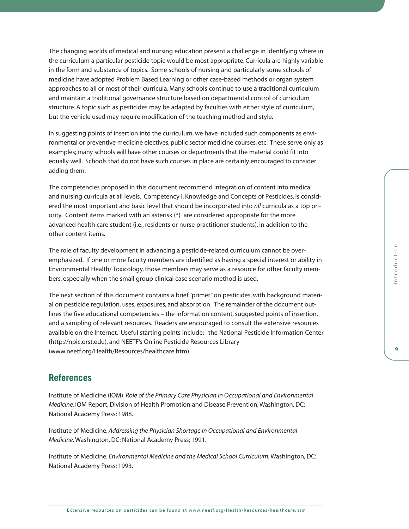The changing worlds of medical and nursing education present a challenge in identifying where in the curriculum a particular pesticide topic would be most appropriate. Curricula are highly variable in the form and substance of topics. Some schools of nursing and particularly some schools of medicine have adopted Problem Based Learning or other case-based methods or organ system approaches to all or most of their curricula. Many schools continue to use a traditional curriculum and maintain a traditional governance structure based on departmental control of curriculum structure. A topic such as pesticides may be adapted by faculties with either style of curriculum, but the vehicle used may require modification of the teaching method and style.

In suggesting points of insertion into the curriculum, we have included such components as environmental or preventive medicine electives, public sector medicine courses, etc. These serve only as examples; many schools will have other courses or departments that the material could fit into equally well. Schools that do not have such courses in place are certainly encouraged to consider adding them.

The competencies proposed in this document recommend integration of content into medical and nursing curricula at all levels. Competency I, Knowledge and Concepts of Pesticides, is considered the most important and basic level that should be incorporated into *all* curricula as a top priority. Content items marked with an asterisk  $(*)$  are considered appropriate for the more advanced health care student (i.e., residents or nurse practitioner students), in addition to the other content items.

The role of faculty development in advancing a pesticide-related curriculum cannot be overemphasized. If one or more faculty members are identified as having a special interest or ability in Environmental Health/ Toxicology, those members may serve as a resource for other faculty members, especially when the small group clinical case scenario method is used.

The next section of this document contains a brief "primer" on pesticides, with background material on pesticide regulation, uses, exposures, and absorption. The remainder of the document outlines the five educational competencies – the information content, suggested points of insertion, and a sampling of relevant resources. Readers are encouraged to consult the extensive resources available on the Internet. Useful starting points include: the National Pesticide Information Center [\(http://npic.orst.edu\)](http://npic.orst.edu), and NEETF's Online Pesticide Resources Library [\(www.neetf.org/Health/Resources/healthcare.htm\).](http://www.neetf.org/Health/Resources/healthcare.htm)

# **References**

Institute of Medicine (IOM). *Role of the Primary Care Physician in Occupational and Environmental Medicine.* IOM Report, Division of Health Promotion and Disease Prevention, Washington, DC: National Academy Press; 1988.

Institute of Medicine. *Addressing the Physician Shortage in Occupational and Environmental Medicine.*Washington, DC: National Academy Press; 1991.

Institute of Medicine. *Environmental Medicine and the Medical School Curriculum.*Washington, DC: National Academy Press; 1993.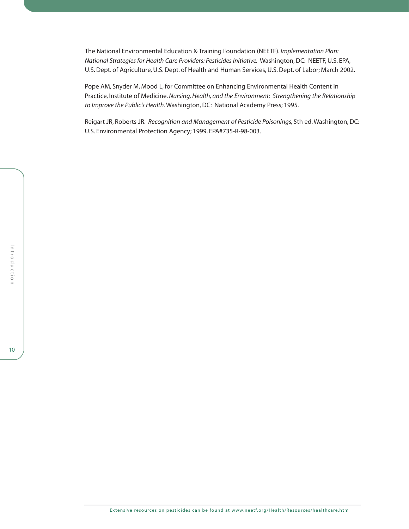The National Environmental Education & Training Foundation (NEETF). *Implementation Plan: National Strategies for Health Care Providers: Pesticides Initiative.* Washington, DC: NEETF, U.S. EPA, U.S. Dept. of Agriculture, U.S. Dept. of Health and Human Services, U.S. Dept. of Labor; March 2002.

Pope AM, Snyder M, Mood L, for Committee on Enhancing Environmental Health Content in Practice, Institute of Medicine. *Nursing, Health, and the Environment: Strengthening the Relationship to Improve the Public's Health.*Washington, DC: National Academy Press; 1995.

Reigart JR, Roberts JR. *Recognition and Management of Pesticide Poisonings,* 5th ed. Washington, DC: U.S. Environmental Protection Agency; 1999. EPA#735-R-98-003.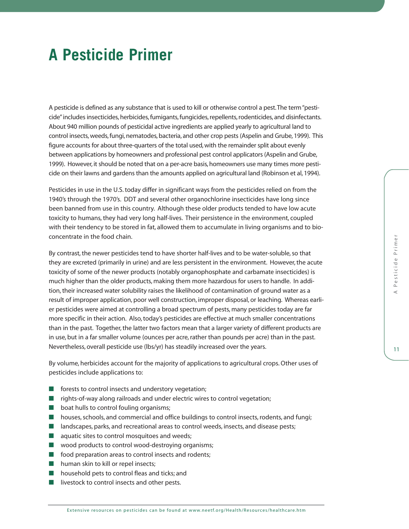# **A Pesticide Primer**

A pesticide is defined as any substance that is used to kill or otherwise control a pest.The term "pesticide"includes insecticides, herbicides, fumigants, fungicides, repellents, rodenticides, and disinfectants. About 940 million pounds of pesticidal active ingredients are applied yearly to agricultural land to control insects, weeds, fungi, nematodes, bacteria, and other crop pests (Aspelin and Grube, 1999). This figure accounts for about three-quarters of the total used, with the remainder split about evenly between applications by homeowners and professional pest control applicators (Aspelin and Grube, 1999). However, it should be noted that on a per-acre basis, homeowners use many times more pesticide on their lawns and gardens than the amounts applied on agricultural land (Robinson et al, 1994).

Pesticides in use in the U.S. today differ in significant ways from the pesticides relied on from the 1940's through the 1970's. DDT and several other organochlorine insecticides have long since been banned from use in this country. Although these older products tended to have low acute toxicity to humans, they had very long half-lives. Their persistence in the environment, coupled with their tendency to be stored in fat, allowed them to accumulate in living organisms and to bioconcentrate in the food chain.

By contrast, the newer pesticides tend to have shorter half-lives and to be water-soluble, so that they are excreted (primarily in urine) and are less persistent in the environment. However, the acute toxicity of some of the newer products (notably organophosphate and carbamate insecticides) is much higher than the older products, making them more hazardous for users to handle. In addition, their increased water solubility raises the likelihood of contamination of ground water as a result of improper application, poor well construction, improper disposal, or leaching. Whereas earlier pesticides were aimed at controlling a broad spectrum of pests, many pesticides today are far more specific in their action. Also, today's pesticides are effective at much smaller concentrations than in the past. Together, the latter two factors mean that a larger variety of different products are in use, but in a far smaller volume (ounces per acre, rather than pounds per acre) than in the past. Nevertheless, overall pesticide use (lbs/yr) has steadily increased over the years.

By volume, herbicides account for the majority of applications to agricultural crops. Other uses of pesticides include applications to:

- forests to control insects and understory vegetation;
- rights-of-way along railroads and under electric wires to control vegetation;
- boat hulls to control fouling organisms;
- houses, schools, and commercial and office buildings to control insects, rodents, and fungi;
- landscapes, parks, and recreational areas to control weeds, insects, and disease pests;
- aquatic sites to control mosquitoes and weeds;
- wood products to control wood-destroying organisms;
- food preparation areas to control insects and rodents;
- human skin to kill or repel insects;
- household pets to control fleas and ticks; and
- livestock to control insects and other pests.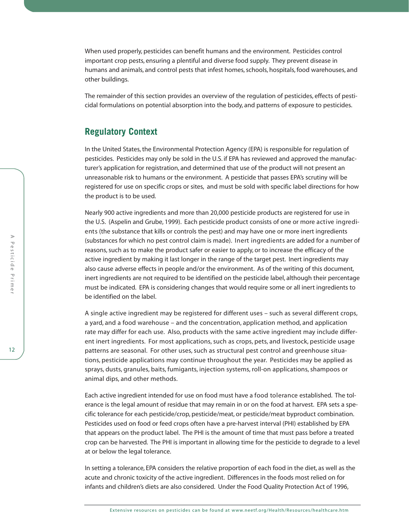When used properly, pesticides can benefit humans and the environment. Pesticides control important crop pests, ensuring a plentiful and diverse food supply. They prevent disease in humans and animals, and control pests that infest homes, schools, hospitals, food warehouses, and other buildings.

The remainder of this section provides an overview of the regulation of pesticides, effects of pesticidal formulations on potential absorption into the body, and patterns of exposure to pesticides.

# **Regulatory Context**

In the United States, the Environmental Protection Agency (EPA) is responsible for regulation of pesticides. Pesticides may only be sold in the U.S. if EPA has reviewed and approved the manufacturer's application for registration, and determined that use of the product will not present an unreasonable risk to humans or the environment. A pesticide that passes EPA's scrutiny will be registered for use on specific crops or sites, and must be sold with specific label directions for how the product is to be used.

Nearly 900 active ingredients and more than 20,000 pesticide products are registered for use in the U.S. (Aspelin and Grube, 1999). Each pesticide product consists of one or more active ingredients (the substance that kills or controls the pest) and may have one or more inert ingredients (substances for which no pest control claim is made). Inert ingredients are added for a number of reasons, such as to make the product safer or easier to apply, or to increase the efficacy of the active ingredient by making it last longer in the range of the target pest. Inert ingredients may also cause adverse effects in people and/or the environment. As of the writing of this document, inert ingredients are not required to be identified on the pesticide label, although their percentage must be indicated. EPA is considering changes that would require some or all inert ingredients to be identified on the label.

A single active ingredient may be registered for different uses – such as several different crops, a yard, and a food warehouse – and the concentration, application method, and application rate may differ for each use. Also, products with the same active ingredient may include different inert ingredients. For most applications, such as crops, pets, and livestock, pesticide usage patterns are seasonal. For other uses, such as structural pest control and greenhouse situations, pesticide applications may continue throughout the year. Pesticides may be applied as sprays, dusts, granules, baits, fumigants, injection systems, roll-on applications, shampoos or animal dips, and other methods.

Each active ingredient intended for use on food must have a food tolerance established. The tolerance is the legal amount of residue that may remain in or on the food at harvest. EPA sets a specific tolerance for each pesticide/crop, pesticide/meat, or pesticide/meat byproduct combination. Pesticides used on food or feed crops often have a pre-harvest interval (PHI) established by EPA that appears on the product label. The PHI is the amount of time that must pass before a treated crop can be harvested. The PHI is important in allowing time for the pesticide to degrade to a level at or below the legal tolerance.

In setting a tolerance, EPA considers the relative proportion of each food in the diet, as well as the acute and chronic toxicity of the active ingredient. Differences in the foods most relied on for infants and children's diets are also considered. Under the Food Quality Protection Act of 1996,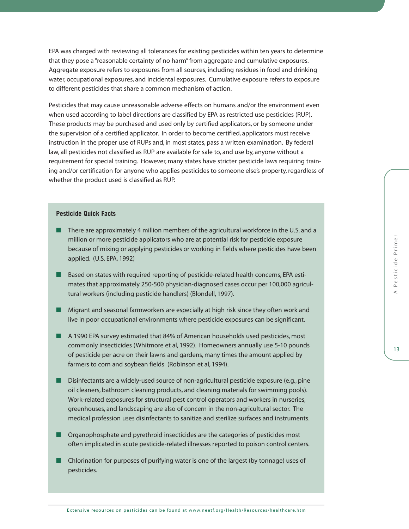EPA was charged with reviewing all tolerances for existing pesticides within ten years to determine that they pose a "reasonable certainty of no harm" from aggregate and cumulative exposures. Aggregate exposure refers to exposures from all sources, including residues in food and drinking water, occupational exposures, and incidental exposures. Cumulative exposure refers to exposure to different pesticides that share a common mechanism of action.

Pesticides that may cause unreasonable adverse effects on humans and/or the environment even when used according to label directions are classified by EPA as restricted use pesticides (RUP). These products may be purchased and used only by certified applicators, or by someone under the supervision of a certified applicator. In order to become certified, applicators must receive instruction in the proper use of RUPs and, in most states, pass a written examination. By federal law, all pesticides not classified as RUP are available for sale to, and use by, anyone without a requirement for special training. However, many states have stricter pesticide laws requiring training and/or certification for anyone who applies pesticides to someone else's property, regardless of whether the product used is classified as RUP.

## **Pesticide Quick Facts**

- There are approximately 4 million members of the agricultural workforce in the U.S. and a million or more pesticide applicators who are at potential risk for pesticide exposure because of mixing or applying pesticides or working in fields where pesticides have been applied. (U.S. EPA, 1992)
- Based on states with required reporting of pesticide-related health concerns, EPA estimates that approximately 250-500 physician-diagnosed cases occur per 100,000 agricultural workers (including pesticide handlers) (Blondell, 1997).
- Migrant and seasonal farmworkers are especially at high risk since they often work and live in poor occupational environments where pesticide exposures can be significant.
- A 1990 EPA survey estimated that 84% of American households used pesticides, most commonly insecticides (Whitmore et al, 1992). Homeowners annually use 5-10 pounds of pesticide per acre on their lawns and gardens, many times the amount applied by farmers to corn and soybean fields (Robinson et al, 1994).
- Disinfectants are a widely-used source of non-agricultural pesticide exposure (e.g., pine oil cleaners, bathroom cleaning products, and cleaning materials for swimming pools). Work-related exposures for structural pest control operators and workers in nurseries, greenhouses, and landscaping are also of concern in the non-agricultural sector. The medical profession uses disinfectants to sanitize and sterilize surfaces and instruments.
- Organophosphate and pyrethroid insecticides are the categories of pesticides most often implicated in acute pesticide-related illnesses reported to poison control centers.
- Chlorination for purposes of purifying water is one of the largest (by tonnage) uses of pesticides.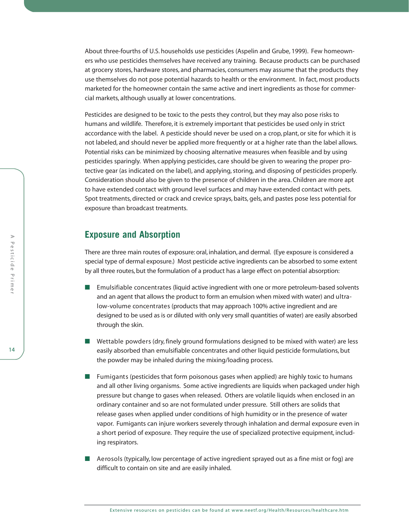About three-fourths of U.S. households use pesticides (Aspelin and Grube, 1999). Few homeowners who use pesticides themselves have received any training. Because products can be purchased at grocery stores, hardware stores, and pharmacies, consumers may assume that the products they use themselves do not pose potential hazards to health or the environment. In fact, most products marketed for the homeowner contain the same active and inert ingredients as those for commercial markets, although usually at lower concentrations.

Pesticides are designed to be toxic to the pests they control, but they may also pose risks to humans and wildlife. Therefore, it is extremely important that pesticides be used only in strict accordance with the label. A pesticide should never be used on a crop, plant, or site for which it is not labeled, and should never be applied more frequently or at a higher rate than the label allows. Potential risks can be minimized by choosing alternative measures when feasible and by using pesticides sparingly. When applying pesticides, care should be given to wearing the proper protective gear (as indicated on the label), and applying, storing, and disposing of pesticides properly. Consideration should also be given to the presence of children in the area. Children are more apt to have extended contact with ground level surfaces and may have extended contact with pets. Spot treatments, directed or crack and crevice sprays, baits, gels, and pastes pose less potential for exposure than broadcast treatments.

# **Exposure and Absorption**

There are three main routes of exposure: oral, inhalation, and dermal. (Eye exposure is considered a special type of dermal exposure.) Most pesticide active ingredients can be absorbed to some extent by all three routes, but the formulation of a product has a large effect on potential absorption:

- Emulsifiable concentrates (liquid active ingredient with one or more petroleum-based solvents and an agent that allows the product to form an emulsion when mixed with water) and ultralow-volume concentrates (products that may approach 100% active ingredient and are designed to be used as is or diluted with only very small quantities of water) are easily absorbed through the skin.
- Wettable powders (dry, finely ground formulations designed to be mixed with water) are less easily absorbed than emulsifiable concentrates and other liquid pesticide formulations, but the powder may be inhaled during the mixing/loading process.
- Fumigants (pesticides that form poisonous gases when applied) are highly toxic to humans and all other living organisms. Some active ingredients are liquids when packaged under high pressure but change to gases when released. Others are volatile liquids when enclosed in an ordinary container and so are not formulated under pressure. Still others are solids that release gases when applied under conditions of high humidity or in the presence of water vapor. Fumigants can injure workers severely through inhalation and dermal exposure even in a short period of exposure. They require the use of specialized protective equipment, including respirators.
- Aerosols (typically, low percentage of active ingredient sprayed out as a fine mist or fog) are difficult to contain on site and are easily inhaled.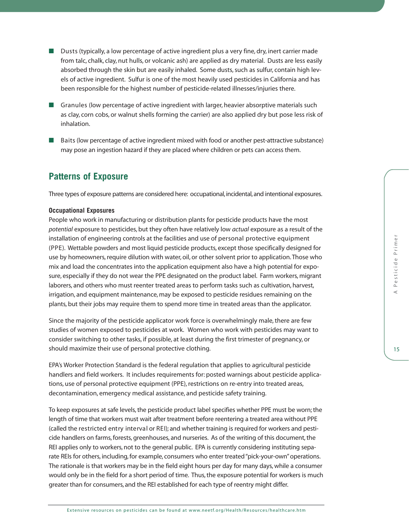- Dusts (typically, a low percentage of active ingredient plus a very fine, dry, inert carrier made from talc, chalk, clay, nut hulls, or volcanic ash) are applied as dry material. Dusts are less easily absorbed through the skin but are easily inhaled. Some dusts, such as sulfur, contain high levels of active ingredient. Sulfur is one of the most heavily used pesticides in California and has been responsible for the highest number of pesticide-related illnesses/injuries there.
- Granules (low percentage of active ingredient with larger, heavier absorptive materials such as clay, corn cobs, or walnut shells forming the carrier) are also applied dry but pose less risk of inhalation.
- Baits (low percentage of active ingredient mixed with food or another pest-attractive substance) may pose an ingestion hazard if they are placed where children or pets can access them.

# **Patterns of Exposure**

Three types of exposure patterns are considered here: occupational, incidental, and intentional exposures.

### **Occupational Exposures**

People who work in manufacturing or distribution plants for pesticide products have the most *potential* exposure to pesticides, but they often have relatively low *actual* exposure as a result of the installation of engineering controls at the facilities and use of personal protective equipment (PPE). Wettable powders and most liquid pesticide products, except those specifically designed for use by homeowners, require dilution with water, oil, or other solvent prior to application. Those who mix and load the concentrates into the application equipment also have a high potential for exposure, especially if they do not wear the PPE designated on the product label. Farm workers, migrant laborers, and others who must reenter treated areas to perform tasks such as cultivation, harvest, irrigation, and equipment maintenance, may be exposed to pesticide residues remaining on the plants, but their jobs may require them to spend more time in treated areas than the applicator.

Since the majority of the pesticide applicator work force is overwhelmingly male, there are few studies of women exposed to pesticides at work. Women who work with pesticides may want to consider switching to other tasks, if possible, at least during the first trimester of pregnancy, or should maximize their use of personal protective clothing.

EPA's Worker Protection Standard is the federal regulation that applies to agricultural pesticide handlers and field workers. It includes requirements for: posted warnings about pesticide applications, use of personal protective equipment (PPE), restrictions on re-entry into treated areas, decontamination, emergency medical assistance, and pesticide safety training.

To keep exposures at safe levels, the pesticide product label specifies whether PPE must be worn; the length of time that workers must wait after treatment before reentering a treated area without PPE (called the restricted entry interval or REI); and whether training is required for workers and pesticide handlers on farms, forests, greenhouses, and nurseries. As of the writing of this document, the REI applies only to workers, not to the general public. EPA is currently considering instituting separate REIs for others, including, for example, consumers who enter treated "pick-your-own" operations. The rationale is that workers may be in the field eight hours per day for many days, while a consumer would only be in the field for a short period of time. Thus, the exposure potential for workers is much greater than for consumers, and the REI established for each type of reentry might differ.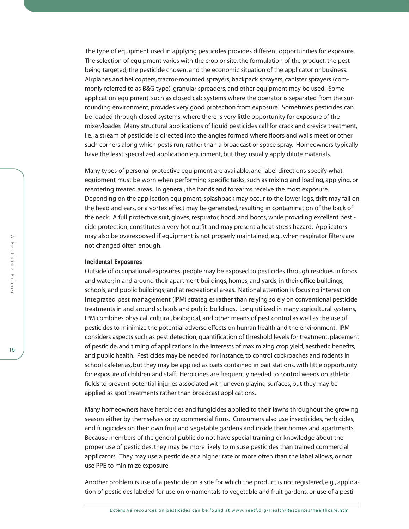The type of equipment used in applying pesticides provides different opportunities for exposure. The selection of equipment varies with the crop or site, the formulation of the product, the pest being targeted, the pesticide chosen, and the economic situation of the applicator or business. Airplanes and helicopters, tractor-mounted sprayers, backpack sprayers, canister sprayers (commonly referred to as B&G type), granular spreaders, and other equipment may be used. Some application equipment, such as closed cab systems where the operator is separated from the surrounding environment, provides very good protection from exposure. Sometimes pesticides can be loaded through closed systems, where there is very little opportunity for exposure of the mixer/loader. Many structural applications of liquid pesticides call for crack and crevice treatment, i.e., a stream of pesticide is directed into the angles formed where floors and walls meet or other such corners along which pests run, rather than a broadcast or space spray. Homeowners typically have the least specialized application equipment, but they usually apply dilute materials.

Many types of personal protective equipment are available, and label directions specify what equipment must be worn when performing specific tasks, such as mixing and loading, applying, or reentering treated areas. In general, the hands and forearms receive the most exposure. Depending on the application equipment, splashback may occur to the lower legs, drift may fall on the head and ears, or a vortex effect may be generated, resulting in contamination of the back of the neck. A full protective suit, gloves, respirator, hood, and boots, while providing excellent pesticide protection, constitutes a very hot outfit and may present a heat stress hazard. Applicators may also be overexposed if equipment is not properly maintained, e.g., when respirator filters are not changed often enough.

#### **Incidental Exposures**

Outside of occupational exposures, people may be exposed to pesticides through residues in foods and water; in and around their apartment buildings, homes, and yards; in their office buildings, schools, and public buildings; and at recreational areas. National attention is focusing interest on integrated pest management (IPM) strategies rather than relying solely on conventional pesticide treatments in and around schools and public buildings. Long utilized in many agricultural systems, IPM combines physical, cultural, biological, and other means of pest control as well as the use of pesticides to minimize the potential adverse effects on human health and the environment. IPM considers aspects such as pest detection, quantification of threshold levels for treatment, placement of pesticide, and timing of applications in the interests of maximizing crop yield, aesthetic benefits, and public health. Pesticides may be needed, for instance, to control cockroaches and rodents in school cafeterias, but they may be applied as baits contained in bait stations, with little opportunity for exposure of children and staff. Herbicides are frequently needed to control weeds on athletic fields to prevent potential injuries associated with uneven playing surfaces, but they may be applied as spot treatments rather than broadcast applications.

Many homeowners have herbicides and fungicides applied to their lawns throughout the growing season either by themselves or by commercial firms. Consumers also use insecticides, herbicides, and fungicides on their own fruit and vegetable gardens and inside their homes and apartments. Because members of the general public do not have special training or knowledge about the proper use of pesticides, they may be more likely to misuse pesticides than trained commercial applicators. They may use a pesticide at a higher rate or more often than the label allows, or not use PPE to minimize exposure.

Another problem is use of a pesticide on a site for which the product is not registered, e.g., application of pesticides labeled for use on ornamentals to vegetable and fruit gardens, or use of a pesti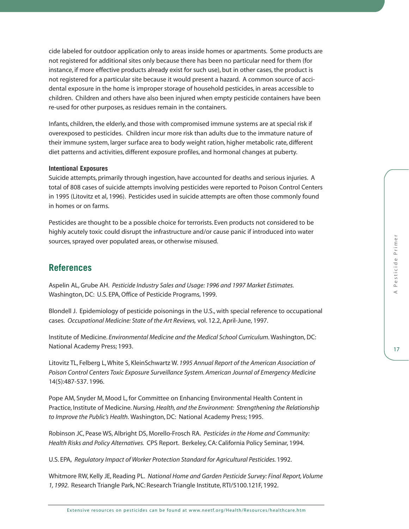cide labeled for outdoor application only to areas inside homes or apartments. Some products are not registered for additional sites only because there has been no particular need for them (for instance, if more effective products already exist for such use), but in other cases, the product is not registered for a particular site because it would present a hazard. A common source of accidental exposure in the home is improper storage of household pesticides, in areas accessible to children. Children and others have also been injured when empty pesticide containers have been re-used for other purposes, as residues remain in the containers.

Infants, children, the elderly, and those with compromised immune systems are at special risk if overexposed to pesticides. Children incur more risk than adults due to the immature nature of their immune system, larger surface area to body weight ration, higher metabolic rate, different diet patterns and activities, different exposure profiles, and hormonal changes at puberty.

### **Intentional Exposures**

Suicide attempts, primarily through ingestion, have accounted for deaths and serious injuries. A total of 808 cases of suicide attempts involving pesticides were reported to Poison Control Centers in 1995 (Litovitz et al, 1996). Pesticides used in suicide attempts are often those commonly found in homes or on farms.

Pesticides are thought to be a possible choice for terrorists. Even products not considered to be highly acutely toxic could disrupt the infrastructure and/or cause panic if introduced into water sources, sprayed over populated areas, or otherwise misused.

# **References**

Aspelin AL, Grube AH. *Pesticide Industry Sales and Usage: 1996 and 1997 Market Estimates.* Washington, DC: U.S. EPA, Office of Pesticide Programs, 1999.

Blondell J. Epidemiology of pesticide poisonings in the U.S., with special reference to occupational cases. *Occupational Medicine: State of the Art Reviews,* vol. 12.2, April-June, 1997.

Institute of Medicine. *Environmental Medicine and the Medical School Curriculum.*Washington, DC: National Academy Press; 1993.

Litovitz TL, Felberg L, White S, KleinSchwartz W. *1995 Annual Report of the American Association of Poison Control Centers Toxic Exposure Surveillance System. American Journal of Emergency Medicine* 14(5):487-537. 1996.

Pope AM, Snyder M, Mood L, for Committee on Enhancing Environmental Health Content in Practice, Institute of Medicine. *Nursing, Health, and the Environment: Strengthening the Relationship to Improve the Public's Health.* Washington, DC: National Academy Press; 1995.

Robinson JC, Pease WS, Albright DS, Morello-Frosch RA. *Pesticides in the Home and Community: Health Risks and Policy Alternatives.* CPS Report. Berkeley, CA: California Policy Seminar, 1994.

U.S. EPA, *Regulatory Impact of Worker Protection Standard for Agricultural Pesticides.* 1992.

Whitmore RW, Kelly JE, Reading PL. *National Home and Garden Pesticide Survey: Final Report, Volume 1, 1992.* Research Triangle Park, NC: Research Triangle Institute, RTI/5100.121F, 1992.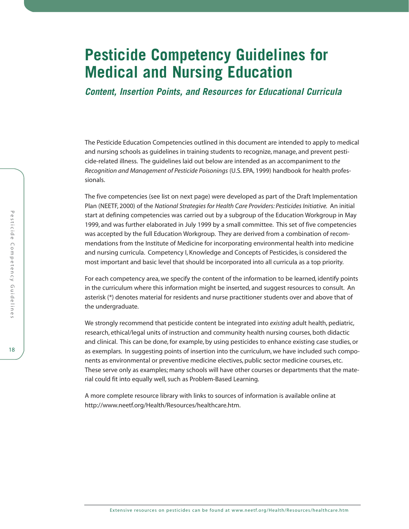# **Pesticide Competency Guidelines for Medical and Nursing Education**

*Content, Insertion Points, and Resources for Educational Curricula* 

The Pesticide Education Competencies outlined in this document are intended to apply to medical and nursing schools as guidelines in training students to recognize, manage, and prevent pesticide-related illness. The guidelines laid out below are intended as an accompaniment to *the Recognition and Management of Pesticide Poisonings* (U.S. EPA, 1999) handbook for health professionals.

The five competencies (see list on next page) were developed as part of the Draft Implementation Plan (NEETF, 2000) of the *National Strategies for Health Care Providers: Pesticides Initiative.* An initial start at defining competencies was carried out by a subgroup of the Education Workgroup in May 1999, and was further elaborated in July 1999 by a small committee. This set of five competencies was accepted by the full Education Workgroup. They are derived from a combination of recommendations from the Institute of Medicine for incorporating environmental health into medicine and nursing curricula. Competency I, Knowledge and Concepts of Pesticides, is considered the most important and basic level that should be incorporated into all curricula as a top priority.

For each competency area, we specify the content of the information to be learned, identify points in the curriculum where this information might be inserted, and suggest resources to consult. An asterisk (\*) denotes material for residents and nurse practitioner students over and above that of the undergraduate.

We strongly recommend that pesticide content be integrated into *existing* adult health, pediatric, research, ethical/legal units of instruction and community health nursing courses, both didactic and clinical. This can be done, for example, by using pesticides to enhance existing case studies, or as exemplars. In suggesting points of insertion into the curriculum, we have included such components as environmental or preventive medicine electives, public sector medicine courses, etc. These serve only as examples; many schools will have other courses or departments that the material could fit into equally well, such as Problem-Based Learning.

A more complete resource library with links to sources of information is available online at [http://www.neetf.org/Health/Resources/healthcare.htm.](http://www.neetf.org/Health/Resources/healthcare.htm)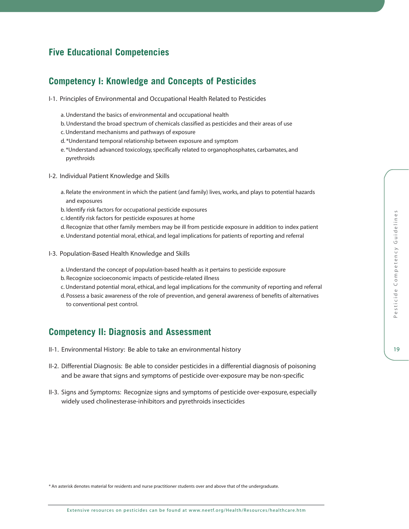# **Five Educational Competencies**

# **Competency I: Knowledge and Concepts of Pesticides**

- I-1. Principles of Environmental and Occupational Health Related to Pesticides
	- a. Understand the basics of environmental and occupational health
	- b.Understand the broad spectrum of chemicals classified as pesticides and their areas of use
	- c. Understand mechanisms and pathways of exposure
	- d. \*Understand temporal relationship between exposure and symptom
	- e. \*Understand advanced toxicology, specifically related to organophosphates, carbamates, and pyrethroids
- I-2. Individual Patient Knowledge and Skills
	- a. Relate the environment in which the patient (and family) lives, works, and plays to potential hazards and exposures
	- b. Identify risk factors for occupational pesticide exposures
	- c. Identify risk factors for pesticide exposures at home
	- d. Recognize that other family members may be ill from pesticide exposure in addition to index patient
	- e. Understand potential moral, ethical, and legal implications for patients of reporting and referral
- I-3. Population-Based Health Knowledge and Skills
	- a. Understand the concept of population-based health as it pertains to pesticide exposure
	- b. Recognize socioeconomic impacts of pesticide-related illness
	- c. Understand potential moral, ethical, and legal implications for the community of reporting and referral
	- d. Possess a basic awareness of the role of prevention, and general awareness of benefits of alternatives to conventional pest control.

# **Competency II: Diagnosis and Assessment**

- II-1. Environmental History: Be able to take an environmental history
- II-2. Differential Diagnosis: Be able to consider pesticides in a differential diagnosis of poisoning and be aware that signs and symptoms of pesticide over-exposure may be non-specific
- II-3. Signs and Symptoms: Recognize signs and symptoms of pesticide over-exposure, especially widely used cholinesterase-inhibitors and pyrethroids insecticides

\* An asterisk denotes material for residents and nurse practitioner students over and above that of the undergraduate.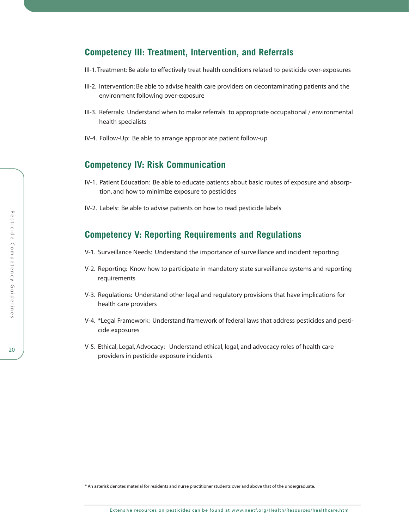# **Competency III: Treatment, Intervention, and Referrals**

- III-1. Treatment: Be able to effectively treat health conditions related to pesticide over-exposures
- III-2. Intervention: Be able to advise health care providers on decontaminating patients and the environment following over-exposure
- III-3. Referrals: Understand when to make referrals to appropriate occupational / environmental health specialists
- IV-4. Follow-Up: Be able to arrange appropriate patient follow-up

# **Competency IV: Risk Communication**

- IV-1. Patient Education: Be able to educate patients about basic routes of exposure and absorption, and how to minimize exposure to pesticides
- IV-2. Labels: Be able to advise patients on how to read pesticide labels

# **Competency V: Reporting Requirements and Regulations**

- V-1. Surveillance Needs: Understand the importance of surveillance and incident reporting
- V-2. Reporting: Know how to participate in mandatory state surveillance systems and reporting requirements
- V-3. Regulations: Understand other legal and regulatory provisions that have implications for health care providers
- V-4. \*Legal Framework: Understand framework of federal laws that address pesticides and pesticide exposures
- V-5. Ethical, Legal, Advocacy: Understand ethical, legal, and advocacy roles of health care providers in pesticide exposure incidents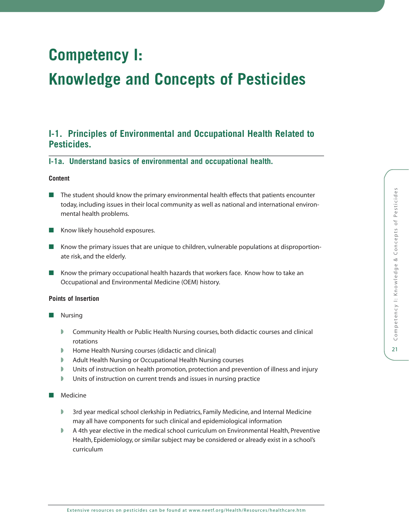# **Competency I:**

# **Knowledge and Concepts of Pesticides**

# **I-1. Principles of Environmental and Occupational Health Related to Pesticides.**

**I-1a. Understand basics of environmental and occupational health.**

## **Content**

- The student should know the primary environmental health effects that patients encounter today, including issues in their local community as well as national and international environmental health problems.
- Know likely household exposures.
- Know the primary issues that are unique to children, vulnerable populations at disproportionate risk, and the elderly.
- Know the primary occupational health hazards that workers face. Know how to take an Occupational and Environmental Medicine (OEM) history.

## **Points of Insertion**

- **Nursing** 
	- Community Health or Public Health Nursing courses, both didactic courses and clinical rotations
	- ◗ Home Health Nursing courses (didactic and clinical)
	- ◗ Adult Health Nursing or Occupational Health Nursing courses
	- ◗ Units of instruction on health promotion, protection and prevention of illness and injury
	- ◗ Units of instruction on current trends and issues in nursing practice
- Medicine
	- ◗ 3rd year medical school clerkship in Pediatrics, Family Medicine, and Internal Medicine may all have components for such clinical and epidemiological information
	- ◗ A 4th year elective in the medical school curriculum on Environmental Health, Preventive Health, Epidemiology, or similar subject may be considered or already exist in a school's curriculum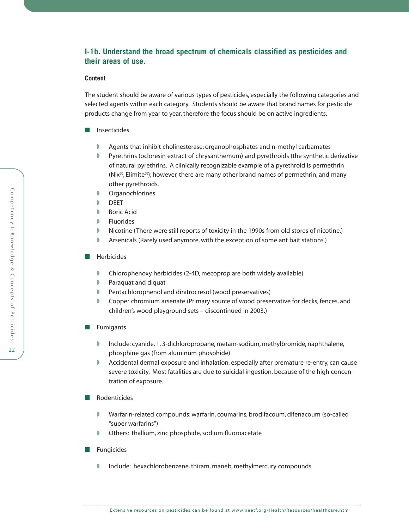# **I-1b. Understand the broad spectrum of chemicals classified as pesticides and their areas of use.**

## **Content**

The student should be aware of various types of pesticides, especially the following categories and selected agents within each category. Students should be aware that brand names for pesticide products change from year to year, therefore the focus should be on active ingredients.

- Insecticides
	- ◗ Agents that inhibit cholinesterase: organophosphates and n-methyl carbamates
	- ◗ Pyrethrins (ocloresin extract of chrysanthemum) and pyrethroids (the synthetic derivative of natural pyrethrins. A clinically recognizable example of a pyrethroid is permethrin (Nix®, Elimite®); however, there are many other brand names of permethrin, and many other pyrethroids.
	- ◗ Organochlorines
	- ◗ DEET
	- **Boric Acid**
	- **D** Fluorides
	- Nicotine (There were still reports of toxicity in the 1990s from old stores of nicotine.)
	- **Arsenicals (Rarely used anymore, with the exception of some ant bait stations.)**
- Herbicides
	- Chlorophenoxy herbicides (2-4D, mecoprop are both widely available)
	- ◗ Paraquat and diquat
	- ◗ Pentachlorophenol and dinitrocresol (wood preservatives)
	- ◗ Copper chromium arsenate (Primary source of wood preservative for decks, fences, and children's wood playground sets – discontinued in 2003.)
- Fumigants
	- ◗ Include: cyanide, 1, 3-dichloropropane, metam-sodium, methylbromide, naphthalene, phosphine gas (from aluminum phosphide)
	- ◗ Accidental dermal exposure and inhalation, especially after premature re-entry, can cause severe toxicity. Most fatalities are due to suicidal ingestion, because of the high concentration of exposure.
- Rodenticides
	- ◗ Warfarin-related compounds: warfarin, coumarins, brodifacoum, difenacoum (so-called "super warfarins")
	- ◗ Others: thallium, zinc phosphide, sodium fluoroacetate
- Fungicides
	- Include: hexachlorobenzene, thiram, maneb, methylmercury compounds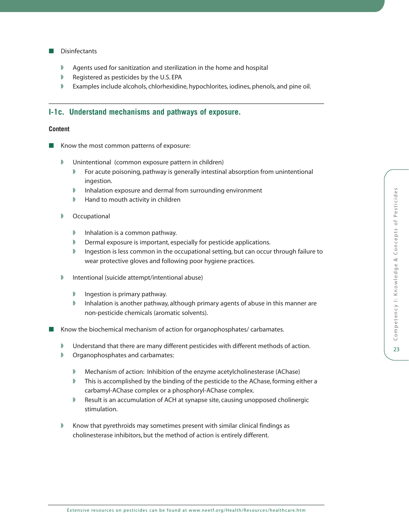### ■ Disinfectants

- Agents used for sanitization and sterilization in the home and hospital
- Registered as pesticides by the U.S. EPA
- ◗ Examples include alcohols, chlorhexidine, hypochlorites, iodines, phenols, and pine oil.

# **I-1c. Understand mechanisms and pathways of exposure.**

## **Content**

- Know the most common patterns of exposure:
	- ◗ Unintentional (common exposure pattern in children)
		- ◗ For acute poisoning, pathway is generally intestinal absorption from unintentional ingestion.
		- ◗ Inhalation exposure and dermal from surrounding environment
		- ◗ Hand to mouth activity in children
	- Occupational
		- ◗ Inhalation is a common pathway.
		- ◗ Dermal exposure is important, especially for pesticide applications.
		- Ingestion is less common in the occupational setting, but can occur through failure to wear protective gloves and following poor hygiene practices.
	- ◗ Intentional (suicide attempt/intentional abuse)
		- ◗ Ingestion is primary pathway.
		- ◗ Inhalation is another pathway, although primary agents of abuse in this manner are non-pesticide chemicals (aromatic solvents).

Know the biochemical mechanism of action for organophosphates/ carbamates.

- Understand that there are many different pesticides with different methods of action.
- ◗ Organophosphates and carbamates:
	- Mechanism of action: Inhibition of the enzyme acetylcholinesterase (AChase)
	- ◗ This is accomplished by the binding of the pesticide to the AChase, forming either a carbamyl-AChase complex or a phosphoryl-AChase complex.
	- ◗ Result is an accumulation of ACH at synapse site, causing unopposed cholinergic stimulation.
- Know that pyrethroids may sometimes present with similar clinical findings as cholinesterase inhibitors, but the method of action is entirely different.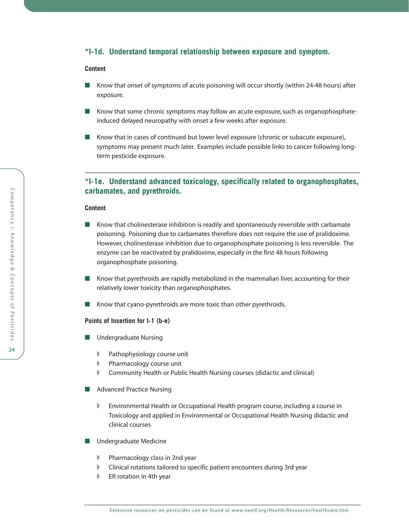## **\*I-1d. Understand temporal relationship between exposure and symptom.**

#### **Content**

- Know that onset of symptoms of acute poisoning will occur shortly (within 24-48 hours) after exposure.
- Know that some chronic symptoms may follow an acute exposure, such as organophosphateinduced delayed neuropathy with onset a few weeks after exposure.
- Know that in cases of continued but lower level exposure (chronic or subacute exposure), symptoms may present much later. Examples include possible links to cancer following longterm pesticide exposure.

# **\*I-1e. Understand advanced toxicology, specifically related to organophosphates, carbamates, and pyrethroids.**

#### **Content**

- Know that cholinesterase inhibition is readily and spontaneously reversible with carbamate poisoning. Poisoning due to carbamates therefore does not require the use of pralidoxime. However, cholinesterase inhibition due to organophosphate poisoning is less reversible. The enzyme can be reactivated by pralidoxime, especially in the first 48 hours following organophosphate poisoning.
- Know that pyrethroids are rapidly metabolized in the mammalian liver, accounting for their relatively lower toxicity than organophosphates.
- Know that cyano-pyrethroids are more toxic than other pyrethroids.

### **Points of Insertion for I-1 (b-e)**

- Undergraduate Nursing
	- ◗ Pathophysiology course unit
	- ◗ Pharmacology course unit
	- Community Health or Public Health Nursing courses (didactic and clinical)
- Advanced Practice Nursing
	- ◗ Environmental Health or Occupational Health program course, including a course in Toxicology and applied in Environmental or Occupational Health Nursing didactic and clinical courses
- Undergraduate Medicine
	- ◗ Pharmacology class in 2nd year
	- Clinical rotations tailored to specific patient encounters during 3rd year
	- ER rotation in 4th year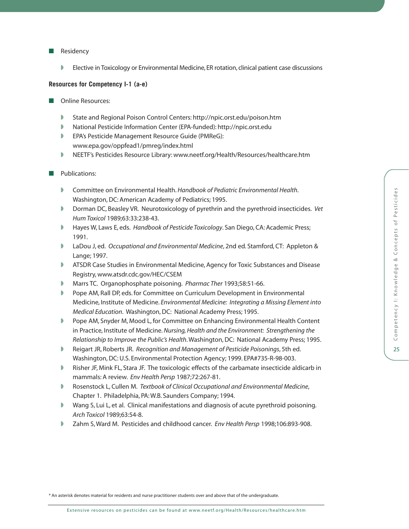◗ Elective in Toxicology or Environmental Medicine, ER rotation, clinical patient case discussions

## **Resources for Competency I-1 (a-e)**

- Online Resources:
	- ◗ State and Regional Poison Control Centers:<http://npic.orst.edu/poison.htm>
	- ◗ National Pesticide Information Center (EPA-funded):<http://npic.orst.edu>
	- ◗ EPA's Pesticide Management Resource Guide (PMReG): [www.epa.gov/oppfead1/pmreg/index.html](http://www.epa.gov/oppfead1/pmreg/index.html)
	- ◗ NEETF's Pesticides Resource Library[: www.neetf.org/Health/Resources/healthcare.htm](http://www.neetf.org/Health/Resources/healthcare.htm)

## ■ Publications:

- ◗ Committee on Environmental Health. *Handbook of Pediatric Environmental Health*. Washington, DC: American Academy of Pediatrics; 1995.
- ◗ Dorman DC, Beasley VR. Neurotoxicology of pyrethrin and the pyrethroid insecticides. *Vet Hum Toxicol* 1989;63:33:238-43.
- ◗ Hayes W, Laws E, eds. *Handbook of Pesticide Toxicology*. San Diego, CA: Academic Press; 1991.
- ◗ LaDou J, ed. *Occupational and Environmental Medicine*, 2nd ed. Stamford, CT: Appleton & Lange; 1997.
- ◗ ATSDR Case Studies in Environmental Medicine, Agency for Toxic Substances and Disease Registry, [www.atsdr.cdc.gov/HEC/CSEM](http://www.atsdr.cdc.gov/HEC/CSEM)
- ◗ Marrs TC. Organophosphate poisoning. *Pharmac Ther* 1993;58:51-66.
- Pope AM, Rall DP, eds. for Committee on Curriculum Development in Environmental Medicine, Institute of Medicine. *Environmental Medicine: Integrating a Missing Element into Medical Education*. Washington, DC: National Academy Press; 1995.
- ◗ Pope AM, Snyder M, Mood L, for Committee on Enhancing Environmental Health Content in Practice, Institute of Medicine. *Nursing, Health and the Environment: Strengthening the Relationship to Improve the Public's Health*. Washington, DC: National Academy Press; 1995.
- ◗ Reigart JR, Roberts JR. *Recognition and Management of Pesticide Poisonings*, 5th ed. Washington, DC: U.S. Environmental Protection Agency; 1999. EPA#735-R-98-003.
- ◗ Risher JF, Mink FL, Stara JF. The toxicologic effects of the carbamate insecticide aldicarb in mammals: A review. *Env Health Persp* 1987;72:267-81.
- ◗ Rosenstock L, Cullen M. *Textbook of Clinical Occupational and Environmental Medicine*, Chapter 1. Philadelphia, PA: W.B. Saunders Company; 1994.
- ◗ Wang S, Lui L, et al. Clinical manifestations and diagnosis of acute pyrethroid poisoning. *Arch Toxicol* 1989;63:54-8.
- ◗ Zahm S, Ward M. Pesticides and childhood cancer. *Env Health Persp* 1998;106:893-908.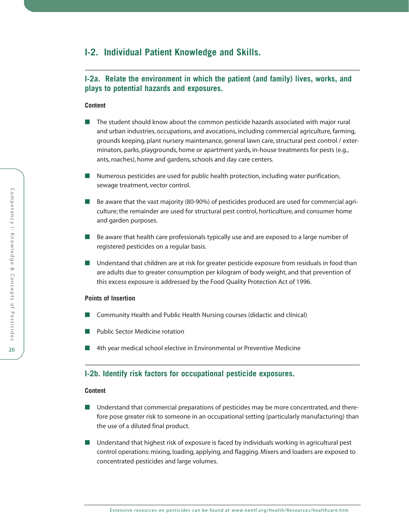# **I-2. Individual Patient Knowledge and Skills.**

# **I-2a. Relate the environment in which the patient (and family) lives, works, and plays to potential hazards and exposures.**

## **Content**

- The student should know about the common pesticide hazards associated with major rural and urban industries, occupations, and avocations, including commercial agriculture, farming, grounds keeping, plant nursery maintenance, general lawn care, structural pest control / exterminators, parks, playgrounds, home or apartment yards, in-house treatments for pests (e.g., ants, roaches), home and gardens, schools and day care centers.
- Numerous pesticides are used for public health protection, including water purification, sewage treatment, vector control.
- Be aware that the vast majority (80-90%) of pesticides produced are used for commercial agriculture; the remainder are used for structural pest control, horticulture, and consumer home and garden purposes.
- Be aware that health care professionals typically use and are exposed to a large number of registered pesticides on a regular basis.
- Understand that children are at risk for greater pesticide exposure from residuals in food than are adults due to greater consumption per kilogram of body weight, and that prevention of this excess exposure is addressed by the Food Quality Protection Act of 1996.

#### **Points of Insertion**

- Community Health and Public Health Nursing courses (didactic and clinical)
- Public Sector Medicine rotation
- 4th year medical school elective in Environmental or Preventive Medicine

## **I-2b. Identify risk factors for occupational pesticide exposures.**

- Understand that commercial preparations of pesticides may be more concentrated, and therefore pose greater risk to someone in an occupational setting (particularly manufacturing) than the use of a diluted final product.
- Understand that highest risk of exposure is faced by individuals working in agricultural pest control operations: mixing, loading, applying, and flagging. Mixers and loaders are exposed to concentrated pesticides and large volumes.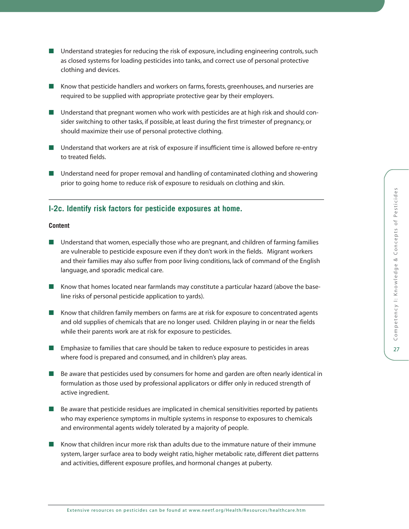- Understand strategies for reducing the risk of exposure, including engineering controls, such as closed systems for loading pesticides into tanks, and correct use of personal protective clothing and devices.
- Know that pesticide handlers and workers on farms, forests, greenhouses, and nurseries are required to be supplied with appropriate protective gear by their employers.
- Understand that pregnant women who work with pesticides are at high risk and should consider switching to other tasks, if possible, at least during the first trimester of pregnancy, or should maximize their use of personal protective clothing.
- Understand that workers are at risk of exposure if insufficient time is allowed before re-entry to treated fields.
- Understand need for proper removal and handling of contaminated clothing and showering prior to going home to reduce risk of exposure to residuals on clothing and skin.

## **I-2c. Identify risk factors for pesticide exposures at home.**

- Understand that women, especially those who are pregnant, and children of farming families are vulnerable to pesticide exposure even if they don't work in the fields. Migrant workers and their families may also suffer from poor living conditions, lack of command of the English language, and sporadic medical care.
- Know that homes located near farmlands may constitute a particular hazard (above the baseline risks of personal pesticide application to yards).
- Know that children family members on farms are at risk for exposure to concentrated agents and old supplies of chemicals that are no longer used. Children playing in or near the fields while their parents work are at risk for exposure to pesticides.
- Emphasize to families that care should be taken to reduce exposure to pesticides in areas where food is prepared and consumed, and in children's play areas.
- Be aware that pesticides used by consumers for home and garden are often nearly identical in formulation as those used by professional applicators or differ only in reduced strength of active ingredient.
- Be aware that pesticide residues are implicated in chemical sensitivities reported by patients who may experience symptoms in multiple systems in response to exposures to chemicals and environmental agents widely tolerated by a majority of people.
- Know that children incur more risk than adults due to the immature nature of their immune system, larger surface area to body weight ratio, higher metabolic rate, different diet patterns and activities, different exposure profiles, and hormonal changes at puberty.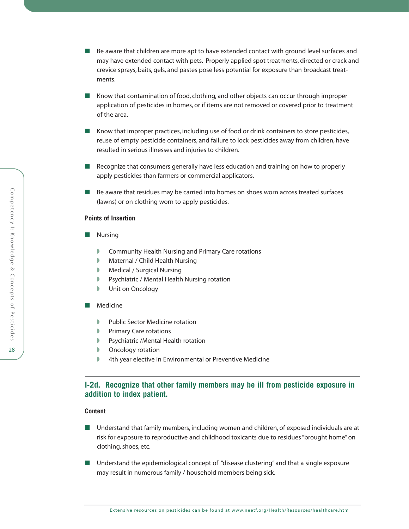- Be aware that children are more apt to have extended contact with ground level surfaces and may have extended contact with pets. Properly applied spot treatments, directed or crack and crevice sprays, baits, gels, and pastes pose less potential for exposure than broadcast treatments.
- Know that contamination of food, clothing, and other objects can occur through improper application of pesticides in homes, or if items are not removed or covered prior to treatment of the area.
- Know that improper practices, including use of food or drink containers to store pesticides, reuse of empty pesticide containers, and failure to lock pesticides away from children, have resulted in serious illnesses and injuries to children.
- Recognize that consumers generally have less education and training on how to properly apply pesticides than farmers or commercial applicators.
- Be aware that residues may be carried into homes on shoes worn across treated surfaces (lawns) or on clothing worn to apply pesticides.

- Nursing
	- ◗ Community Health Nursing and Primary Care rotations
	- Maternal / Child Health Nursing
	- ◗ Medical / Surgical Nursing
	- Psychiatric / Mental Health Nursing rotation
	- ◗ Unit on Oncology
- Medicine
	- ◗ Public Sector Medicine rotation
	- ◗ Primary Care rotations
	- ◗ Psychiatric /Mental Health rotation
	- ◗ Oncology rotation
	- 4th year elective in Environmental or Preventive Medicine

## **I-2d. Recognize that other family members may be ill from pesticide exposure in addition to index patient.**

- Understand that family members, including women and children, of exposed individuals are at risk for exposure to reproductive and childhood toxicants due to residues "brought home" on clothing, shoes, etc.
- Understand the epidemiological concept of "disease clustering" and that a single exposure may result in numerous family / household members being sick.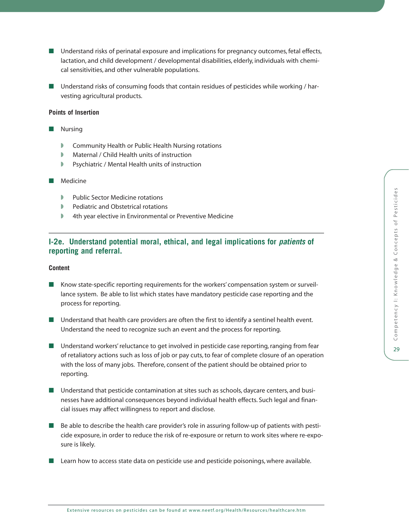- Understand risks of perinatal exposure and implications for pregnancy outcomes, fetal effects, lactation, and child development / developmental disabilities, elderly, individuals with chemical sensitivities, and other vulnerable populations.
- Understand risks of consuming foods that contain residues of pesticides while working / harvesting agricultural products.

- **Nursing** 
	- ◗ Community Health or Public Health Nursing rotations
	- ◗ Maternal / Child Health units of instruction
	- ◗ Psychiatric / Mental Health units of instruction
- Medicine
	- ◗ Public Sector Medicine rotations
	- ◗ Pediatric and Obstetrical rotations
	- ◗ 4th year elective in Environmental or Preventive Medicine

# **I-2e. Understand potential moral, ethical, and legal implications for** *patients* **of reporting and referral.**

- Know state-specific reporting requirements for the workers' compensation system or surveillance system. Be able to list which states have mandatory pesticide case reporting and the process for reporting.
- Understand that health care providers are often the first to identify a sentinel health event. Understand the need to recognize such an event and the process for reporting.
- Understand workers' reluctance to get involved in pesticide case reporting, ranging from fear of retaliatory actions such as loss of job or pay cuts, to fear of complete closure of an operation with the loss of many jobs. Therefore, consent of the patient should be obtained prior to reporting.
- Understand that pesticide contamination at sites such as schools, daycare centers, and businesses have additional consequences beyond individual health effects. Such legal and financial issues may affect willingness to report and disclose.
- Be able to describe the health care provider's role in assuring follow-up of patients with pesticide exposure, in order to reduce the risk of re-exposure or return to work sites where re-exposure is likely.
- Learn how to access state data on pesticide use and pesticide poisonings, where available.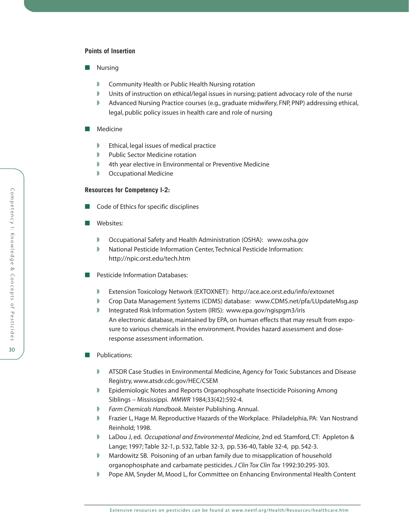- Nursing
	- Community Health or Public Health Nursing rotation
	- ◗ Units of instruction on ethical/legal issues in nursing; patient advocacy role of the nurse
	- ◗ Advanced Nursing Practice courses (e.g., graduate midwifery, FNP, PNP) addressing ethical, legal, public policy issues in health care and role of nursing

#### ■ Medicine

- ◗ Ethical, legal issues of medical practice
- ◗ Public Sector Medicine rotation
- 4th year elective in Environmental or Preventive Medicine
- Occupational Medicine

#### **Resources for Competency I-2:**

- Code of Ethics for specific disciplines
- Websites:
	- ◗ Occupational Safety and Health Administration (OSHA): [www.osha.gov](http://www.osha.gov)
	- ◗ National Pesticide Information Center, Technical Pesticide Information: <http://npic.orst.edu/tech.htm>
- Pesticide Information Databases:
	- ◗ Extension Toxicology Network (EXTOXNET):<http://ace.ace.orst.edu/info/extoxnet>
	- ◗ Crop Data Management Systems (CDMS) database: [www.CDMS.net/pfa/LUpdateMsg.asp](http://www.CDMS.net/pfa/LUpdateMsg.asp)
	- Integrated Risk Information System (IRIS): [www.epa.gov/ngispgm3/iris](http://www.epa.gov/ngispgm3/iris) An electronic database, maintained by EPA, on human effects that may result from exposure to various chemicals in the environment. Provides hazard assessment and doseresponse assessment information.
- Publications:
	- ◗ ATSDR Case Studies in Environmental Medicine, Agency for Toxic Substances and Disease Registry, [www.atsdr.cdc.gov/HEC/CSEM](http://www.atsdr.cdc.gov/HEC/CSEM)
	- ◗ Epidemiologic Notes and Reports Organophosphate Insecticide Poisoning Among Siblings – Mississippi. *MMWR* 1984;33(42):592-4.
	- ◗ *Farm Chemicals Handbook*. Meister Publishing. Annual.
	- ◗ Frazier L, Hage M. Reproductive Hazards of the Workplace. Philadelphia, PA: Van Nostrand Reinhold; 1998.
	- ◗ LaDou J, ed. *Occupational and Environmental Medicine*, 2nd ed. Stamford, CT: Appleton & Lange; 1997; Table 32-1, p. 532, Table 32-3, pp. 536-40, Table 32-4, pp. 542-3.
	- Mardowitz SB. Poisoning of an urban family due to misapplication of household organophosphate and carbamate pesticides.*J Clin Tox Clin Tox* 1992:30:295-303.
	- Pope AM, Snyder M, Mood L, for Committee on Enhancing Environmental Health Content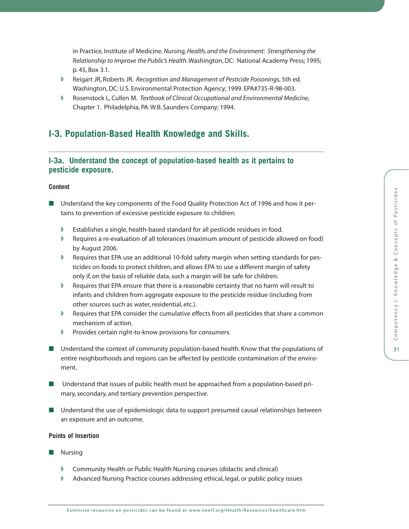in Practice, Institute of Medicine. *Nursing, Health, and the Environment: Strengthening the Relationship to Improve the Public's Health*. Washington, DC: National Academy Press; 1995; p. 45, Box 3.1.

- ◗ Reigart JR, Roberts JR. *Recognition and Management of Pesticide Poisonings*, 5th ed. Washington, DC: U.S. Environmental Protection Agency; 1999. EPA#735-R-98-003.
- ◗ Rosenstock L, Cullen M. *Textbook of Clinical Occupational and Environmental Medicine*, Chapter 1. Philadelphia, PA: W.B. Saunders Company; 1994.

# **I-3. Population-Based Health Knowledge and Skills.**

# **I-3a. Understand the concept of population-based health as it pertains to pesticide exposure.**

## **Content**

- Understand the key components of the Food Quality Protection Act of 1996 and how it pertains to prevention of excessive pesticide exposure to children:
	- ◗ Establishes a single, health-based standard for all pesticide residues in food.
	- ◗ Requires a re-evaluation of all tolerances (maximum amount of pesticide allowed on food) by August 2006.
	- Requires that EPA use an additional 10-fold safety margin when setting standards for pesticides on foods to protect children, and allows EPA to use a different margin of safety only if, on the basis of reliable data, such a margin will be safe for children.
	- ◗ Requires that EPA ensure that there is a reasonable certainty that no harm will result to infants and children from aggregate exposure to the pesticide residue (including from other sources such as water, residential, etc.).
	- ◗ Requires that EPA consider the cumulative effects from all pesticides that share a common mechanism of action.
	- ◗ Provides certain right-to-know provisions for consumers.
- Understand the context of community population-based health. Know that the populations of entire neighborhoods and regions can be affected by pesticide contamination of the enviroment.
- Understand that issues of public health must be approached from a population-based primary, secondary, and tertiary prevention perspective.
- Understand the use of epidemiologic data to support presumed causal relationships between an exposure and an outcome.

## **Points of Insertion**

- Nursing
	- ◗ Community Health or Public Health Nursing courses (didactic and clinical)
	- ◗ Advanced Nursing Practice courses addressing ethical, legal, or public policy issues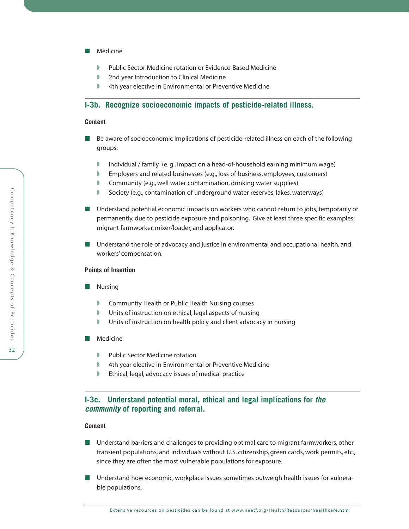- Medicine
	- ◗ Public Sector Medicine rotation or Evidence-Based Medicine
	- 2nd year Introduction to Clinical Medicine
	- **4th year elective in Environmental or Preventive Medicine**

## **I-3b. Recognize socioeconomic impacts of pesticide-related illness.**

#### **Content**

- Be aware of socioeconomic implications of pesticide-related illness on each of the following groups:
	- Individual / family (e.g., impact on a head-of-household earning minimum wage)
	- ◗ Employers and related businesses (e.g., loss of business, employees, customers)
	- ◗ Community (e.g., well water contamination, drinking water supplies)
	- ◗ Society (e.g., contamination of underground water reserves, lakes, waterways)
- Understand potential economic impacts on workers who cannot return to jobs, temporarily or permanently, due to pesticide exposure and poisoning. Give at least three specific examples: migrant farmworker, mixer/loader, and applicator.
- Understand the role of advocacy and justice in environmental and occupational health, and workers' compensation.

### **Points of Insertion**

- Nursing
	- ◗ Community Health or Public Health Nursing courses
	- Units of instruction on ethical, legal aspects of nursing
	- Units of instruction on health policy and client advocacy in nursing
- Medicine
	- ◗ Public Sector Medicine rotation
	- 4th year elective in Environmental or Preventive Medicine
	- ◗ Ethical, legal, advocacy issues of medical practice

# **I-3c. Understand potential moral, ethical and legal implications for** *the community* **of reporting and referral.**

- Understand barriers and challenges to providing optimal care to migrant farmworkers, other transient populations, and individuals without U.S. citizenship, green cards, work permits, etc., since they are often the most vulnerable populations for exposure.
- Understand how economic, workplace issues sometimes outweigh health issues for vulnerable populations.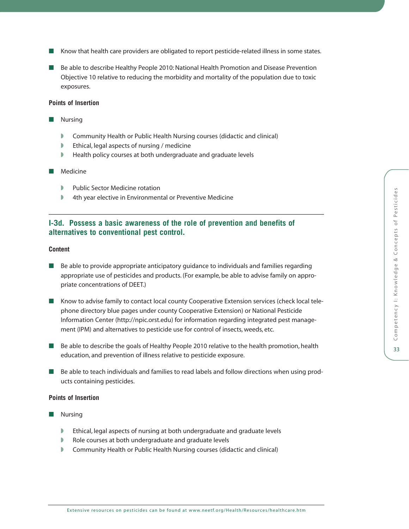- Know that health care providers are obligated to report pesticide-related illness in some states.
- Be able to describe Healthy People 2010: National Health Promotion and Disease Prevention Objective 10 relative to reducing the morbidity and mortality of the population due to toxic exposures.

- Nursing
	- ◗ Community Health or Public Health Nursing courses (didactic and clinical)
	- ◗ Ethical, legal aspects of nursing / medicine
	- Health policy courses at both undergraduate and graduate levels
- Medicine
	- ◗ Public Sector Medicine rotation
	- ◗ 4th year elective in Environmental or Preventive Medicine

## **I-3d. Possess a basic awareness of the role of prevention and benefits of alternatives to conventional pest control.**

## **Content**

- Be able to provide appropriate anticipatory guidance to individuals and families regarding appropriate use of pesticides and products. (For example, be able to advise family on appropriate concentrations of DEET.)
- Know to advise family to contact local county Cooperative Extension services (check local telephone directory blue pages under county Cooperative Extension) or National Pesticide Information Center [\(http://npic.orst.edu\)](http://npic.orst.edu) for information regarding integrated pest management (IPM) and alternatives to pesticide use for control of insects, weeds, etc.
- Be able to describe the goals of Healthy People 2010 relative to the health promotion, health education, and prevention of illness relative to pesticide exposure.
- Be able to teach individuals and families to read labels and follow directions when using products containing pesticides.

#### **Points of Insertion**

- Nursing
	- ◗ Ethical, legal aspects of nursing at both undergraduate and graduate levels
	- ◗ Role courses at both undergraduate and graduate levels
	- ◗ Community Health or Public Health Nursing courses (didactic and clinical)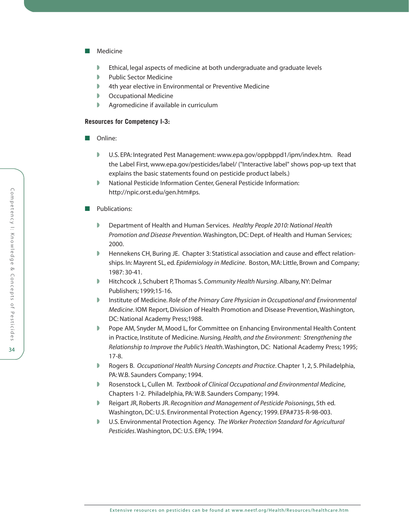- Medicine
	- Ethical, legal aspects of medicine at both undergraduate and graduate levels
	- ◗ Public Sector Medicine
	- ◗ 4th year elective in Environmental or Preventive Medicine
	- Occupational Medicine
	- ◗ Agromedicine if available in curriculum

## **Resources for Competency I-3:**

- Online:
	- ◗ U.S. EPA: Integrated Pest Management: [www.epa.gov/oppbppd1/ipm/index.htm.](http://www.epa.gov/oppbppd1/ipm/index.htm) Read the Label First, [www.epa.gov/pesticides/label/](http://www.epa.gov/pesticides/label/) ("Interactive label" shows pop-up text that explains the basic statements found on pesticide product labels.)
	- National Pesticide Information Center, General Pesticide Information: [http://npic.orst.edu/gen.htm#ps.](http://npic.orst.edu/gen.htm#ps)

### ■ Publications:

- ◗ Department of Health and Human Services. *Healthy People 2010: National Health Promotion and Disease Prevention*. Washington, DC: Dept. of Health and Human Services; 2000.
- ◗ Hennekens CH, Buring JE. Chapter 3: Statistical association and cause and effect relationships. In: Mayrent SL, ed. *Epidemiology in Medicine*. Boston, MA: Little, Brown and Company; 1987: 30-41.
- ◗ Hitchcock J, Schubert P, Thomas S. *Community Health Nursing*. Albany, NY: Delmar Publishers; 1999;15-16.
- ◗ Institute of Medicine. *Role of the Primary Care Physician in Occupational and Environmental Medicine*. IOM Report, Division of Health Promotion and Disease Prevention, Washington, DC: National Academy Press;1988.
- ◗ Pope AM, Snyder M, Mood L, for Committee on Enhancing Environmental Health Content in Practice, Institute of Medicine. *Nursing, Health, and the Environment: Strengthening the Relationship to Improve the Public's Health*. Washington, DC: National Academy Press; 1995; 17-8.
- ◗ Rogers B. *Occupational Health Nursing Concepts and Practice*. Chapter 1, 2, 5. Philadelphia, PA: W.B. Saunders Company; 1994.
- ◗ Rosenstock L, Cullen M. *Textbook of Clinical Occupational and Environmental Medicine*, Chapters 1-2. Philadelphia, PA: W.B. Saunders Company; 1994.
- ◗ Reigart JR, Roberts JR. *Recognition and Management of Pesticide Poisonings*, 5th ed. Washington, DC: U.S. Environmental Protection Agency; 1999. EPA#735-R-98-003.
- ◗ U.S. Environmental Protection Agency. *The Worker Protection Standard for Agricultural Pesticides*. Washington, DC: U.S. EPA; 1994.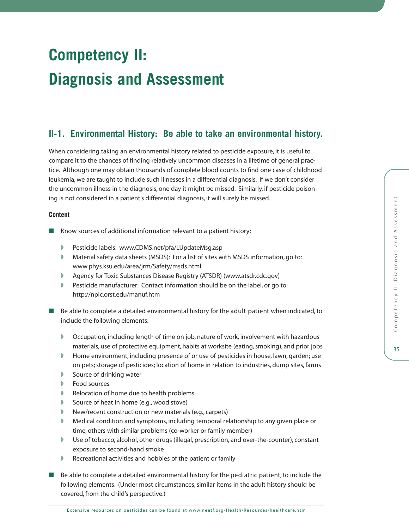35

# **Competency II: Diagnosis and Assessment**

# **II-1. Environmental History: Be able to take an environmental history.**

When considering taking an environmental history related to pesticide exposure, it is useful to compare it to the chances of finding relatively uncommon diseases in a lifetime of general practice. Although one may obtain thousands of complete blood counts to find one case of childhood leukemia, we are taught to include such illnesses in a differential diagnosis. If we don't consider the uncommon illness in the diagnosis, one day it might be missed. Similarly, if pesticide poisoning is not considered in a patient's differential diagnosis, it will surely be missed.

- Know sources of additional information relevant to a patient history:
	- ◗ Pesticide labels: [www.CDMS.net/pfa/LUpdateMsg.asp](http://www.CDMS.net/pfa/LUpdateMsg.asp)
	- Material safety data sheets (MSDS): For a list of sites with MSDS information, go to: [www.phys.ksu.edu/area/jrm/Safety/msds.html](http://www.phys.ksu.edu/area/jrm/Safety/msds.html)
	- ◗ Agency for Toxic Substances Disease Registry (ATSDR) [\(www.atsdr.cdc.gov\)](http://www.atsdr.cdc.gov)
	- Pesticide manufacturer: Contact information should be on the label, or go to: <http://npic.orst.edu/manuf.htm>
- Be able to complete a detailed environmental history for the adult patient when indicated, to include the following elements:
	- ◗ Occupation, including length of time on job, nature of work, involvement with hazardous materials, use of protective equipment, habits at worksite (eating, smoking), and prior jobs
	- ◗ Home environment, including presence of or use of pesticides in house, lawn, garden; use on pets; storage of pesticides; location of home in relation to industries, dump sites, farms
	- Source of drinking water
	- ◗ Food sources
	- ◗ Relocation of home due to health problems
	- ◗ Source of heat in home (e.g., wood stove)
	- ◗ New/recent construction or new materials (e.g., carpets)
	- ◗ Medical condition and symptoms, including temporal relationship to any given place or time, others with similar problems (co-worker or family member)
	- ◗ Use of tobacco, alcohol, other drugs (illegal, prescription, and over-the-counter), constant exposure to second-hand smoke
	- ◗ Recreational activities and hobbies of the patient or family
- Be able to complete a detailed environmental history for the pediatric patient, to include the following elements. (Under most circumstances, similar items in the adult history should be covered, from the child's perspective.)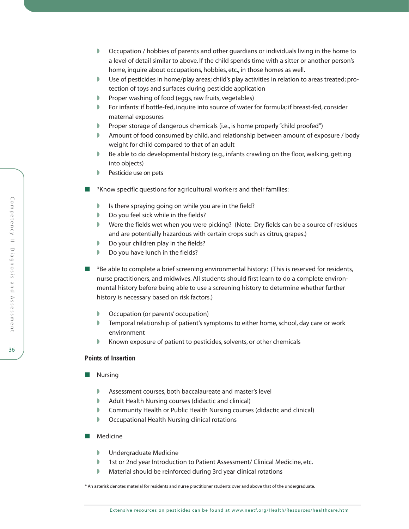- ◗ Occupation / hobbies of parents and other guardians or individuals living in the home to a level of detail similar to above. If the child spends time with a sitter or another person's home, inquire about occupations, hobbies, etc., in those homes as well.
- Use of pesticides in home/play areas; child's play activities in relation to areas treated; protection of toys and surfaces during pesticide application
- ◗ Proper washing of food (eggs, raw fruits, vegetables)
- ◗ For infants: if bottle-fed, inquire into source of water for formula; if breast-fed, consider maternal exposures
- Proper storage of dangerous chemicals (i.e., is home properly "child proofed")
- Amount of food consumed by child, and relationship between amount of exposure / body weight for child compared to that of an adult
- ◗ Be able to do developmental history (e.g., infants crawling on the floor, walking, getting into objects)
- Pesticide use on pets
- <sup>\*</sup>Know specific questions for agricultural workers and their families:
	- ◗ Is there spraying going on while you are in the field?
	- Do you feel sick while in the fields?
	- Were the fields wet when you were picking? (Note: Dry fields can be a source of residues and are potentially hazardous with certain crops such as citrus, grapes.)
	- ◗ Do your children play in the fields?
	- ◗ Do you have lunch in the fields?
- <sup>\*</sup>Be able to complete a brief screening environmental history: (This is reserved for residents, nurse practitioners, and midwives. All students should first learn to do a complete environmental history before being able to use a screening history to determine whether further history is necessary based on risk factors.)
	- ◗ Occupation (or parents' occupation)
	- ◗ Temporal relationship of patient's symptoms to either home, school, day care or work environment
	- Known exposure of patient to pesticides, solvents, or other chemicals

- Nursing
	- ◗ Assessment courses, both baccalaureate and master's level
	- ◗ Adult Health Nursing courses (didactic and clinical)
	- ◗ Community Health or Public Health Nursing courses (didactic and clinical)
	- Occupational Health Nursing clinical rotations

#### ■ Medicine

- ◗ Undergraduate Medicine
- ◗ 1st or 2nd year Introduction to Patient Assessment/ Clinical Medicine, etc.
- Material should be reinforced during 3rd year clinical rotations

\* An asterisk denotes material for residents and nurse practitioner students over and above that of the undergraduate.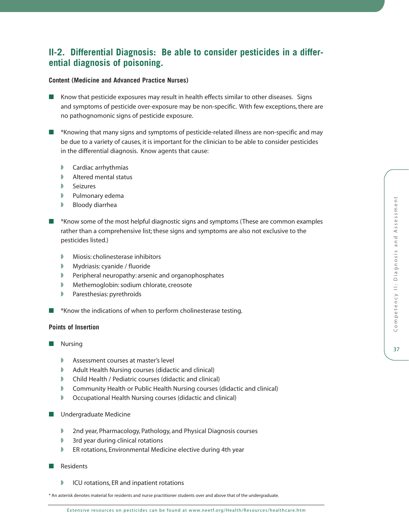# **II-2. Differential Diagnosis: Be able to consider pesticides in a differential diagnosis of poisoning.**

## **Content (Medicine and Advanced Practice Nurses)**

- Know that pesticide exposures may result in health effects similar to other diseases. Signs and symptoms of pesticide over-exposure may be non-specific. With few exceptions, there are no pathognomonic signs of pesticide exposure.
- \*Knowing that many signs and symptoms of pesticide-related illness are non-specific and may be due to a variety of causes, it is important for the clinician to be able to consider pesticides in the differential diagnosis. Know agents that cause:
	- Cardiac arrhythmias
	- Altered mental status
	- ◗ Seizures
	- ◗ Pulmonary edema
	- Bloody diarrhea
- <sup>\*</sup>Know some of the most helpful diagnostic signs and symptoms (These are common examples rather than a comprehensive list; these signs and symptoms are also not exclusive to the pesticides listed.)
	- ◗ Miosis: cholinesterase inhibitors
	- ◗ Mydriasis: cyanide / fluoride
	- ◗ Peripheral neuropathy: arsenic and organophosphates
	- ◗ Methemoglobin: sodium chlorate, creosote
	- ◗ Paresthesias: pyrethroids
- <sup>\*</sup>Know the indications of when to perform cholinesterase testing.

## **Points of Insertion**

- Nursing
	- Assessment courses at master's level
	- ◗ Adult Health Nursing courses (didactic and clinical)
	- ◗ Child Health / Pediatric courses (didactic and clinical)
	- ◗ Community Health or Public Health Nursing courses (didactic and clinical)
	- ◗ Occupational Health Nursing courses (didactic and clinical)
- Undergraduate Medicine
	- ◗ 2nd year, Pharmacology, Pathology, and Physical Diagnosis courses
	- ◗ 3rd year during clinical rotations
	- ER rotations, Environmental Medicine elective during 4th year
- Residents
	- ◗ ICU rotations, ER and inpatient rotations

\* An asterisk denotes material for residents and nurse practitioner students over and above that of the undergraduate.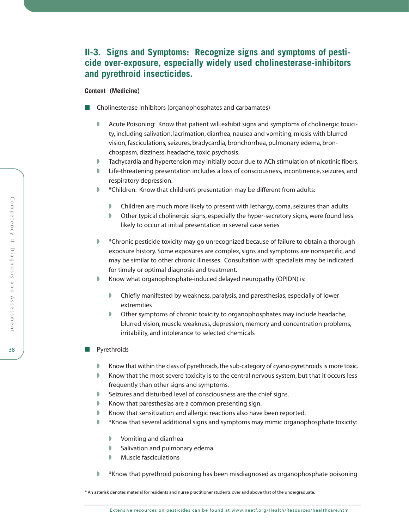# **II-3. Signs and Symptoms: Recognize signs and symptoms of pesticide over-exposure, especially widely used cholinesterase-inhibitors and pyrethroid insecticides.**

### **Content (Medicine)**

- Cholinesterase inhibitors (organophosphates and carbamates)
	- ◗ Acute Poisoning: Know that patient will exhibit signs and symptoms of cholinergic toxicity, including salivation, lacrimation, diarrhea, nausea and vomiting, miosis with blurred vision, fasciculations, seizures, bradycardia, bronchorrhea, pulmonary edema, bronchospasm, dizziness, headache, toxic psychosis.
	- ◗ Tachycardia and hypertension may initially occur due to ACh stimulation of nicotinic fibers.
	- ◗ Life-threatening presentation includes a loss of consciousness, incontinence, seizures, and respiratory depression.
	- \*Children: Know that children's presentation may be different from adults:
		- ◗ Children are much more likely to present with lethargy, coma, seizures than adults
		- ◗ Other typical cholinergic signs, especially the hyper-secretory signs, were found less likely to occur at initial presentation in several case series
	- ◗ \*Chronic pesticide toxicity may go unrecognized because of failure to obtain a thorough exposure history. Some exposures are complex, signs and symptoms are nonspecific, and may be similar to other chronic illnesses. Consultation with specialists may be indicated for timely or optimal diagnosis and treatment.
	- Know what organophosphate-induced delayed neuropathy (OPIDN) is:
		- ◗ Chiefly manifested by weakness, paralysis, and paresthesias, especially of lower extremities
		- ◗ Other symptoms of chronic toxicity to organophosphates may include headache, blurred vision, muscle weakness, depression, memory and concentration problems, irritability, and intolerance to selected chemicals
- Pyrethroids
	- Know that within the class of pyrethroids, the sub-category of cyano-pyrethroids is more toxic.
	- Know that the most severe toxicity is to the central nervous system, but that it occurs less frequently than other signs and symptoms.
	- Seizures and disturbed level of consciousness are the chief signs.
	- ◗ Know that paresthesias are a common presenting sign.
	- ◗ Know that sensitization and allergic reactions also have been reported.
	- ◗ \*Know that several additional signs and symptoms may mimic organophosphate toxicity:
		- ◗ Vomiting and diarrhea
		- ◗ Salivation and pulmonary edema
		- ◗ Muscle fasciculations
	- \*Know that pyrethroid poisoning has been misdiagnosed as organophosphate poisoning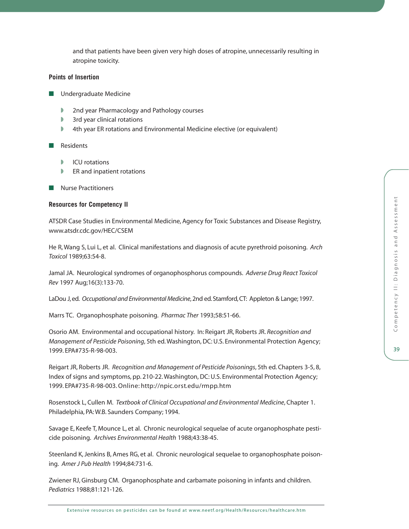and that patients have been given very high doses of atropine, unnecessarily resulting in atropine toxicity.

## **Points of Insertion**

- Undergraduate Medicine
	- ◗ 2nd year Pharmacology and Pathology courses
	- ◗ 3rd year clinical rotations
	- ◗ 4th year ER rotations and Environmental Medicine elective (or equivalent)

### ■ Residents

- ICU rotations
- ◗ ER and inpatient rotations
- Nurse Practitioners

### **Resources for Competency II**

ATSDR Case Studies in Environmental Medicine, Agency for Toxic Substances and Disease Registry, [www.atsdr.cdc.gov/HEC/CSEM](http://www.atsdr.cdc.gov/HEC/CSEM)

He R, Wang S, Lui L, et al. Clinical manifestations and diagnosis of acute pyrethroid poisoning. *Arch Toxicol* 1989;63:54-8.

Jamal JA. Neurological syndromes of organophosphorus compounds. *Adverse Drug React Toxicol Rev* 1997 Aug;16(3):133-70.

LaDou J, ed. *Occupational and Environmental Medicine*, 2nd ed. Stamford, CT: Appleton & Lange; 1997.

Marrs TC. Organophosphate poisoning. *Pharmac Ther* 1993;58:51-66.

Osorio AM. Environmental and occupational history. In: Reigart JR, Roberts JR. *Recognition and Management of Pesticide Poisoning*, 5th ed. Washington, DC: U.S. Environmental Protection Agency; 1999. EPA#735-R-98-003.

Reigart JR, Roberts JR. *Recognition and Management of Pesticide Poisonings*, 5th ed. Chapters 3-5, 8, Index of signs and symptoms, pp. 210-22. Washington, DC: U.S. Environmental Protection Agency; 1999. EPA#735-R-98-003.Online:<http://npic.orst.edu/rmpp.htm>

Rosenstock L, Cullen M. *Textbook of Clinical Occupational and Environmental Medicine*, Chapter 1. Philadelphia, PA: W.B. Saunders Company; 1994.

Savage E, Keefe T, Mounce L, et al. Chronic neurological sequelae of acute organophosphate pesticide poisoning. *Archives Environmental Health* 1988;43:38-45.

Steenland K, Jenkins B, Ames RG, et al. Chronic neurological sequelae to organophosphate poisoning. *Amer J Pub Health* 1994;84:731-6.

Zwiener RJ, Ginsburg CM. Organophosphate and carbamate poisoning in infants and children. *Pediatrics* 1988;81:121-126.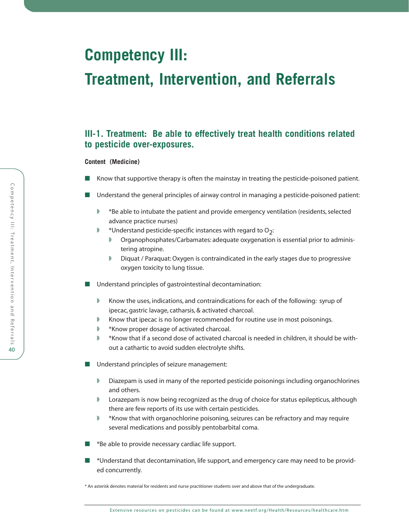# **Competency III:**

# **Treatment, Intervention, and Referrals**

# **III-1. Treatment: Be able to effectively treat health conditions related to pesticide over-exposures.**

## **Content (Medicine)**

- Know that supportive therapy is often the mainstay in treating the pesticide-poisoned patient.
- Understand the general principles of airway control in managing a pesticide-poisoned patient:
	- ◗ \*Be able to intubate the patient and provide emergency ventilation (residents, selected advance practice nurses)
	- $\blacktriangleright$  \*Understand pesticide-specific instances with regard to O<sub>2</sub>:
		- ◗ Organophosphates/Carbamates: adequate oxygenation is essential prior to administering atropine.
		- ◗ Diquat / Paraquat: Oxygen is contraindicated in the early stages due to progressive oxygen toxicity to lung tissue.
- Understand principles of gastrointestinal decontamination:
	- Know the uses, indications, and contraindications for each of the following: syrup of ipecac, gastric lavage, catharsis, & activated charcoal.
	- Know that ipecac is no longer recommended for routine use in most poisonings.
	- ◗ \*Know proper dosage of activated charcoal.
	- \*Know that if a second dose of activated charcoal is needed in children, it should be without a cathartic to avoid sudden electrolyte shifts.
- Understand principles of seizure management:
	- ◗ Diazepam is used in many of the reported pesticide poisonings including organochlorines and others.
	- ◗ Lorazepam is now being recognized as the drug of choice for status epilepticus, although there are few reports of its use with certain pesticides.
	- ◗ \*Know that with organochlorine poisoning, seizures can be refractory and may require several medications and possibly pentobarbital coma.
- \*Be able to provide necessary cardiac life support.
- <sup>\*</sup>Understand that decontamination, life support, and emergency care may need to be provided concurrently.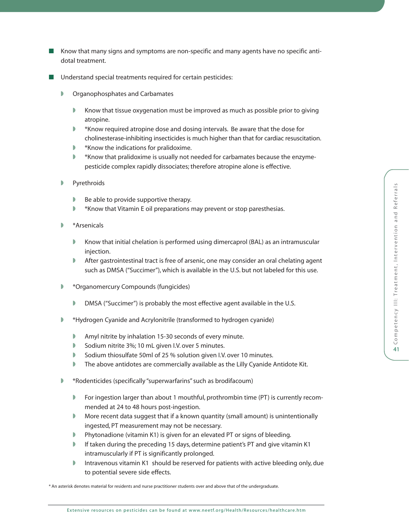- Know that many signs and symptoms are non-specific and many agents have no specific antidotal treatment.
- Understand special treatments required for certain pesticides:
	- ◗ Organophosphates and Carbamates
		- Know that tissue oxygenation must be improved as much as possible prior to giving atropine.
		- ◗ \*Know required atropine dose and dosing intervals. Be aware that the dose for cholinesterase-inhibiting insecticides is much higher than that for cardiac resuscitation.
		- ◗ \*Know the indications for pralidoxime.
		- \*Know that pralidoxime is usually not needed for carbamates because the enzymepesticide complex rapidly dissociates; therefore atropine alone is effective.
	- **Pyrethroids** 
		- ◗ Be able to provide supportive therapy.
		- ◗ \*Know that Vitamin E oil preparations may prevent or stop paresthesias.
	- ◗ \*Arsenicals
		- ◗ Know that initial chelation is performed using dimercaprol (BAL) as an intramuscular injection.
		- After gastrointestinal tract is free of arsenic, one may consider an oral chelating agent such as DMSA ("Succimer"), which is available in the U.S. but not labeled for this use.
	- ◗ \*Organomercury Compounds (fungicides)
		- DMSA ("Succimer") is probably the most effective agent available in the U.S.
	- ◗ \*Hydrogen Cyanide and Acrylonitrile (transformed to hydrogen cyanide)
		- ◗ Amyl nitrite by inhalation 15-30 seconds of every minute.
		- ◗ Sodium nitrite 3%; 10 mL given I.V. over 5 minutes.
		- ◗ Sodium thiosulfate 50ml of 25 % solution given I.V. over 10 minutes.
		- ◗ The above antidotes are commercially available as the Lilly Cyanide Antidote Kit.
	- ◗ \*Rodenticides (specifically "superwarfarins" such as brodifacoum)
		- ◗ For ingestion larger than about 1 mouthful, prothrombin time (PT) is currently recommended at 24 to 48 hours post-ingestion.
		- ◗ More recent data suggest that if a known quantity (small amount) is unintentionally ingested, PT measurement may not be necessary.
		- Phytonadione (vitamin K1) is given for an elevated PT or signs of bleeding.
		- If taken during the preceding 15 days, determine patient's PT and give vitamin K1 intramuscularly if PT is significantly prolonged.
		- ◗ Intravenous vitamin K1 should be reserved for patients with active bleeding only, due to potential severe side effects.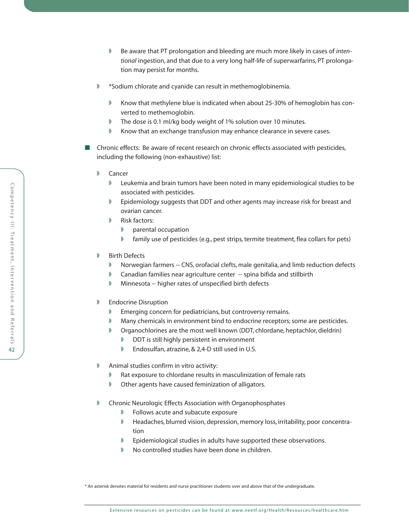- ◗ Be aware that PT prolongation and bleeding are much more likely in cases of *intentional* ingestion, and that due to a very long half-life of superwarfarins, PT prolongation may persist for months.
- ◗ \*Sodium chlorate and cyanide can result in methemoglobinemia.
	- Know that methylene blue is indicated when about 25-30% of hemoglobin has converted to methemoglobin.
	- The dose is 0.1 ml/kg body weight of 1% solution over 10 minutes.
	- Know that an exchange transfusion may enhance clearance in severe cases.
- Chronic effects: Be aware of recent research on chronic effects associated with pesticides, including the following (non-exhaustive) list:
	- ◗ Cancer
		- ◗ Leukemia and brain tumors have been noted in many epidemiological studies to be associated with pesticides.
		- Epidemiology suggests that DDT and other agents may increase risk for breast and ovarian cancer.
		- ◗ Risk factors:
			- ◗ parental occupation
			- ◗ family use of pesticides (e.g., pest strips, termite treatment, flea collars for pets)
	- **Birth Defects** 
		- Norwegian farmers -- CNS, orofacial clefts, male genitalia, and limb reduction defects
		- Canadian families near agriculture center -- spina bifida and stillbirth
		- Minnesota -- higher rates of unspecified birth defects
	- **▶** Endocrine Disruption
		- Emerging concern for pediatricians, but controversy remains.
		- ◗ Many chemicals in environment bind to endocrine receptors; some are pesticides.
		- Organochlorines are the most well known (DDT, chlordane, heptachlor, dieldrin)
			- **■** DDT is still highly persistent in environment
			- ◗ Endosulfan, atrazine, & 2,4-D still used in U.S.
	- ◗ Animal studies confirm in vitro activity:
		- Rat exposure to chlordane results in masculinization of female rats
		- ◗ Other agents have caused feminization of alligators.
	- Chronic Neurologic Effects Association with Organophosphates
		- ◗ Follows acute and subacute exposure
		- Headaches, blurred vision, depression, memory loss, irritability, poor concentration
		- ◗ Epidemiological studies in adults have supported these observations.
		- ◗ No controlled studies have been done in children.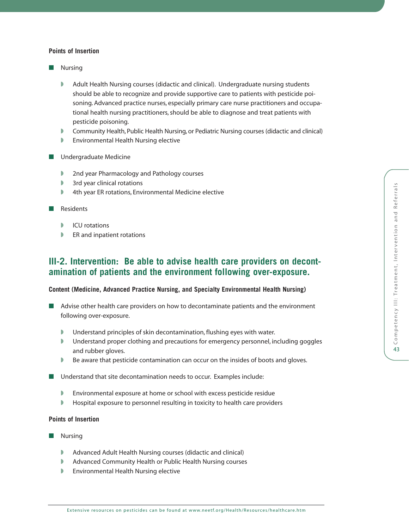- Nursing
	- ◗ Adult Health Nursing courses (didactic and clinical). Undergraduate nursing students should be able to recognize and provide supportive care to patients with pesticide poisoning. Advanced practice nurses, especially primary care nurse practitioners and occupational health nursing practitioners, should be able to diagnose and treat patients with pesticide poisoning.
	- ◗ Community Health, Public Health Nursing, or Pediatric Nursing courses (didactic and clinical)
	- ◗ Environmental Health Nursing elective
- Undergraduate Medicine
	- ◗ 2nd year Pharmacology and Pathology courses
	- ◗ 3rd year clinical rotations
	- ◗ 4th year ER rotations, Environmental Medicine elective
- Residents
	- **D** ICU rotations
	- ◗ ER and inpatient rotations

# **III-2. Intervention: Be able to advise health care providers on decontamination of patients and the environment following over-exposure.**

#### **Content (Medicine, Advanced Practice Nursing, and Specialty Environmental Health Nursing)**

- Advise other health care providers on how to decontaminate patients and the environment following over-exposure.
	- ◗ Understand principles of skin decontamination, flushing eyes with water.
	- ◗ Understand proper clothing and precautions for emergency personnel, including goggles and rubber gloves.
	- ◗ Be aware that pesticide contamination can occur on the insides of boots and gloves.
- Understand that site decontamination needs to occur. Examples include:
	- ◗ Environmental exposure at home or school with excess pesticide residue
	- ◗ Hospital exposure to personnel resulting in toxicity to health care providers

## **Points of Insertion**

- **Nursing** 
	- Advanced Adult Health Nursing courses (didactic and clinical)
	- ◗ Advanced Community Health or Public Health Nursing courses
	- ◗ Environmental Health Nursing elective

Extensive resources on pesticides can be found at [www.neetf.org/Health/Resources/healthcare.htm](http://www.neetf.org/Health/Resources/healthcare.htm)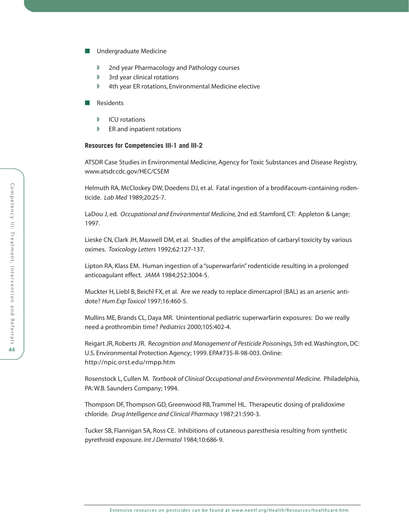- Undergraduate Medicine
	- ◗ 2nd year Pharmacology and Pathology courses
	- ◗ 3rd year clinical rotations
	- ◗ 4th year ER rotations, Environmental Medicine elective
- Residents
	- **D** ICU rotations
	- **▶ ER and inpatient rotations**

### **Resources for Competencies III-1 and III-2**

ATSDR Case Studies in Environmental Medicine, Agency for Toxic Substances and Disease Registry, [www.atsdr.cdc.gov/HEC/CSEM](http://www.atsdr.cdc.gov/HEC/CSEM)

Helmuth RA, McCloskey DW, Doedens DJ, et al. Fatal ingestion of a brodifacoum-containing rodenticide. *Lab Med* 1989;20:25-7.

LaDou J, ed. *Occupational and Environmental Medicine,* 2nd ed. Stamford, CT: Appleton & Lange; 1997.

Lieske CN, Clark JH, Maxwell DM, et al. Studies of the amplification of carbaryl toxicity by various oximes. *Toxicology Letters* 1992;62:127-137.

Lipton RA, Klass EM. Human ingestion of a "superwarfarin" rodenticide resulting in a prolonged anticoagulant effect. *JAMA* 1984;252:3004-5.

Muckter H, Liebl B, Beichl FX, et al. Are we ready to replace dimercaprol (BAL) as an arsenic antidote? *Hum Exp Toxicol* 1997;16:460-5.

Mullins ME, Brands CL, Daya MR. Unintentional pediatric superwarfarin exposures: Do we really need a prothrombin time? *Pediatrics* 2000;105:402-4.

Reigart JR, Roberts JR. R*ecognition and Management of Pesticide Poisonings,* 5th ed. Washington, DC: U.S. Environmental Protection Agency; 1999. EPA#735-R-98-003. Online: <http://npic.orst.edu/rmpp.htm>

Rosenstock L, Cullen M. *Textbook of Clinical Occupational and Environmental Medicine.* Philadelphia, PA: W.B. Saunders Company; 1994.

Thompson DF, Thompson GD, Greenwood RB, Trammel HL. Therapeutic dosing of pralidoxime chloride. *Drug Intelligence and Clinical Pharmacy* 1987;21:590-3.

Tucker SB, Flannigan SA, Ross CE. Inhibitions of cutaneous paresthesia resulting from synthetic pyrethroid exposure. *Int J Dermatol* 1984;10:686-9.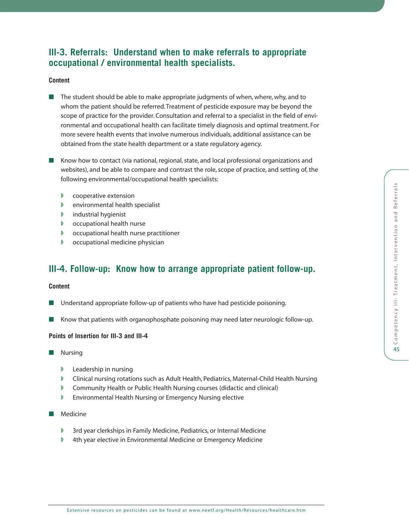# **III-3. Referrals: Understand when to make referrals to appropriate occupational / environmental health specialists.**

## **Content**

- The student should be able to make appropriate judgments of when, where, why, and to whom the patient should be referred. Treatment of pesticide exposure may be beyond the scope of practice for the provider. Consultation and referral to a specialist in the field of environmental and occupational health can facilitate timely diagnosis and optimal treatment. For more severe health events that involve numerous individuals, additional assistance can be obtained from the state health department or a state regulatory agency.
- Know how to contact (via national, regional, state, and local professional organizations and websites), and be able to compare and contrast the role, scope of practice, and setting of, the following environmental/occupational health specialists:
	- **■** cooperative extension
	- ◗ environmental health specialist
	- ◗ industrial hygienist
	- ◗ occupational health nurse
	- ◗ occupational health nurse practitioner
	- ◗ occupational medicine physician

# **III-4. Follow-up: Know how to arrange appropriate patient follow-up.**

## **Content**

- Understand appropriate follow-up of patients who have had pesticide poisoning.
- Know that patients with organophosphate poisoning may need later neurologic follow-up.

## **Points of Insertion for III-3 and III-4**

- Nursing
	- ◗ Leadership in nursing
	- ◗ Clinical nursing rotations such as Adult Health, Pediatrics, Maternal-Child Health Nursing
	- Community Health or Public Health Nursing courses (didactic and clinical)
	- Environmental Health Nursing or Emergency Nursing elective
- Medicine
	- 3rd year clerkships in Family Medicine, Pediatrics, or Internal Medicine
	- ◗ 4th year elective in Environmental Medicine or Emergency Medicine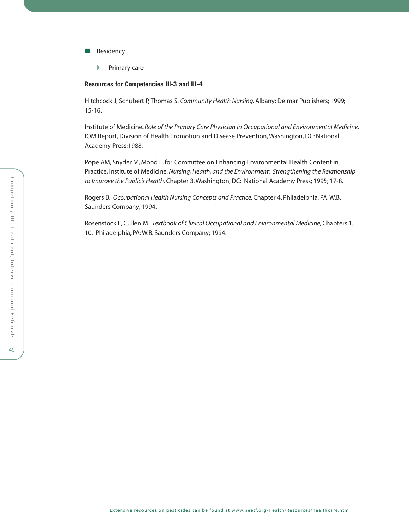- Residency
	- ◗ Primary care

#### **Resources for Competencies III-3 and III-4**

Hitchcock J, Schubert P, Thomas S. *Community Health Nursing.*Albany: Delmar Publishers; 1999; 15-16.

Institute of Medicine. *Role of the Primary Care Physician in Occupational and Environmental Medicine.* IOM Report, Division of Health Promotion and Disease Prevention, Washington, DC: National Academy Press;1988.

Pope AM, Snyder M, Mood L, for Committee on Enhancing Environmental Health Content in Practice, Institute of Medicine. *Nursing, Health, and the Environment: Strengthening the Relationship to Improve the Public's Health,*Chapter 3. Washington, DC: National Academy Press; 1995; 17-8.

Rogers B. *Occupational Health Nursing Concepts and Practice.*Chapter 4. Philadelphia, PA: W.B. Saunders Company; 1994.

Rosenstock L, Cullen M. *Textbook of Clinical Occupational and Environmental Medicine,*Chapters 1, 10. Philadelphia, PA: W.B. Saunders Company; 1994.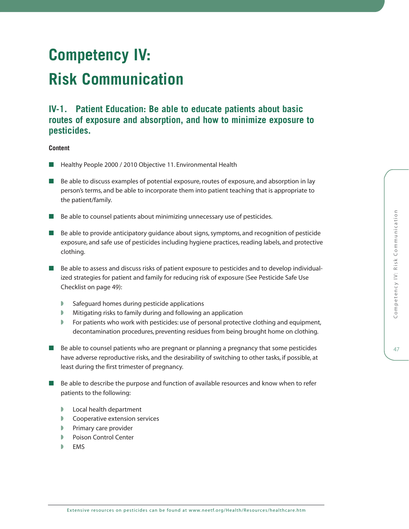47

# **Competency IV:**

# **Risk Communication**

# **IV-1. Patient Education: Be able to educate patients about basic routes of exposure and absorption, and how to minimize exposure to pesticides.**

- Healthy People 2000 / 2010 Objective 11. Environmental Health
- Be able to discuss examples of potential exposure, routes of exposure, and absorption in lay person's terms, and be able to incorporate them into patient teaching that is appropriate to the patient/family.
- Be able to counsel patients about minimizing unnecessary use of pesticides.
- Be able to provide anticipatory quidance about signs, symptoms, and recognition of pesticide exposure, and safe use of pesticides including hygiene practices, reading labels, and protective clothing.
- Be able to assess and discuss risks of patient exposure to pesticides and to develop individualized strategies for patient and family for reducing risk of exposure (See Pesticide Safe Use Checklist on page 49):
	- ◗ Safeguard homes during pesticide applications
	- ◗ Mitigating risks to family during and following an application
	- ◗ For patients who work with pesticides: use of personal protective clothing and equipment, decontamination procedures, preventing residues from being brought home on clothing.
- Be able to counsel patients who are pregnant or planning a pregnancy that some pesticides have adverse reproductive risks, and the desirability of switching to other tasks, if possible, at least during the first trimester of pregnancy.
- Be able to describe the purpose and function of available resources and know when to refer patients to the following:
	- ◗ Local health department
	- ◗ Cooperative extension services
	- **▶ Primary care provider**
	- ◗ Poison Control Center
	- ◗ EMS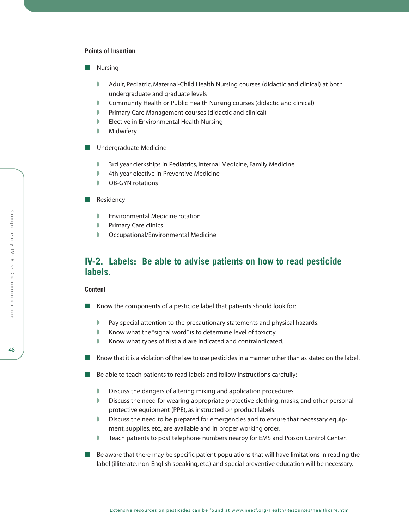- Nursing
	- Adult, Pediatric, Maternal-Child Health Nursing courses (didactic and clinical) at both undergraduate and graduate levels
	- Community Health or Public Health Nursing courses (didactic and clinical)
	- ◗ Primary Care Management courses (didactic and clinical)
	- ◗ Elective in Environmental Health Nursing
	- **Nidwifery**
- Undergraduate Medicine
	- 3rd year clerkships in Pediatrics, Internal Medicine, Family Medicine
	- ◗ 4th year elective in Preventive Medicine
	- ◗ OB-GYN rotations
- Residency
	- ◗ Environmental Medicine rotation
	- ◗ Primary Care clinics
	- ◗ Occupational/Environmental Medicine

# **IV-2. Labels: Be able to advise patients on how to read pesticide labels.**

#### **Content**

- Know the components of a pesticide label that patients should look for:
	- Pay special attention to the precautionary statements and physical hazards.
	- Know what the "signal word" is to determine level of toxicity.
	- Know what types of first aid are indicated and contraindicated.
- Know that it is a violation of the law to use pesticides in a manner other than as stated on the label.
- Be able to teach patients to read labels and follow instructions carefully:
	- Discuss the dangers of altering mixing and application procedures.
	- ◗ Discuss the need for wearing appropriate protective clothing, masks, and other personal protective equipment (PPE), as instructed on product labels.
	- ◗ Discuss the need to be prepared for emergencies and to ensure that necessary equipment, supplies, etc., are available and in proper working order.
	- ◗ Teach patients to post telephone numbers nearby for EMS and Poison Control Center.
- Be aware that there may be specific patient populations that will have limitations in reading the label (illiterate, non-English speaking, etc.) and special preventive education will be necessary.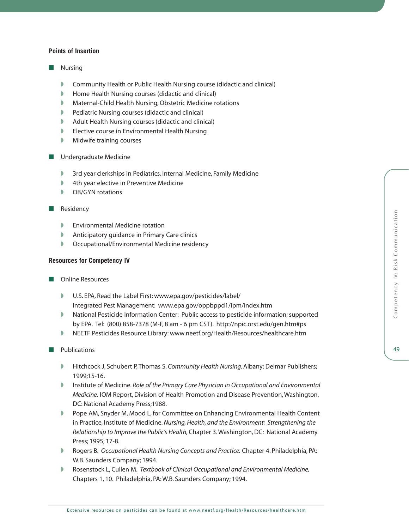- Nursing
	- Community Health or Public Health Nursing course (didactic and clinical)
	- ◗ Home Health Nursing courses (didactic and clinical)
	- ◗ Maternal-Child Health Nursing, Obstetric Medicine rotations
	- ◗ Pediatric Nursing courses (didactic and clinical)
	- ◗ Adult Health Nursing courses (didactic and clinical)
	- ◗ Elective course in Environmental Health Nursing
	- Midwife training courses
- Undergraduate Medicine
	- 3rd year clerkships in Pediatrics, Internal Medicine, Family Medicine
	- ◗ 4th year elective in Preventive Medicine
	- ◗ OB/GYN rotations
- Residency
	- ◗ Environmental Medicine rotation
	- ◗ Anticipatory guidance in Primary Care clinics
	- ◗ Occupational/Environmental Medicine residency

## **Resources for Competency IV**

- Online Resources
	- ◗ U.S. EPA, Read the Label First: [www.epa.gov/pesticides/label/](http://www.epa.gov/pesticides/label/)  Integrated Pest Management:<www.epa.gov/oppbppd1/ipm/index.htm>
	- ◗ National Pesticide Information Center: Public access to pesticide information; supported by EPA. Tel: (800) 858-7378 (M-F, 8 am - 6 pm CST).<http://npic.orst.edu/gen.htm#ps>
	- ◗ NEETF Pesticides Resource Library: [www.neetf.org/Health/Resources/healthcare.htm](http://www.neetf.org/Health/Resources/healthcare.htm)

#### ■ Publications

- ◗ Hitchcock J, Schubert P, Thomas S. *Community Health Nursing.*Albany: Delmar Publishers; 1999;15-16.
- ◗ Institute of Medicine. *Role of the Primary Care Physician in Occupational and Environmental Medicine.* IOM Report, Division of Health Promotion and Disease Prevention, Washington, DC: National Academy Press;1988.
- ◗ Pope AM, Snyder M, Mood L, for Committee on Enhancing Environmental Health Content in Practice, Institute of Medicine. *Nursing, Health, and the Environment: Strengthening the Relationship to Improve the Public's Health,*Chapter 3. Washington, DC: National Academy Press; 1995; 17-8.
- ◗ Rogers B. *Occupational Health Nursing Concepts and Practice.* Chapter 4. Philadelphia, PA: W.B. Saunders Company; 1994.
- ◗ Rosenstock L, Cullen M. *Textbook of Clinical Occupational and Environmental Medicine,* Chapters 1, 10. Philadelphia, PA: W.B. Saunders Company; 1994.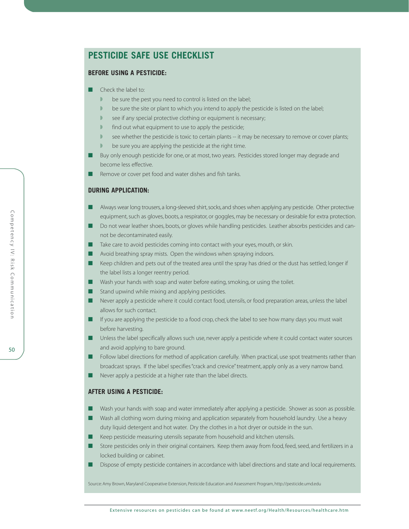# **PESTICIDE SAFE USE CHECKLIST**

## **BEFORE USING A PESTICIDE:**

- Check the label to:
	- be sure the pest you need to control is listed on the label;
	- ◗ be sure the site or plant to which you intend to apply the pesticide is listed on the label;
	- ◗ see if any special protective clothing or equipment is necessary;
	- ◗ find out what equipment to use to apply the pesticide;
	- **■** see whether the pesticide is toxic to certain plants -- it may be necessary to remove or cover plants;
	- be sure you are applying the pesticide at the right time.
- Buy only enough pesticide for one, or at most, two years. Pesticides stored longer may degrade and become less effective.
- Remove or cover pet food and water dishes and fish tanks.

#### **DURING APPLICATION:**

- Always wear long trousers, a long-sleeved shirt, socks, and shoes when applying any pesticide. Other protective equipment, such as gloves, boots, a respirator, or goggles, may be necessary or desirable for extra protection.
- Do not wear leather shoes, boots, or gloves while handling pesticides. Leather absorbs pesticides and cannot be decontaminated easily.
- Take care to avoid pesticides coming into contact with your eyes, mouth, or skin.
- Avoid breathing spray mists. Open the windows when spraying indoors.
- Keep children and pets out of the treated area until the spray has dried or the dust has settled; longer if the label lists a longer reentry period.
- Wash your hands with soap and water before eating, smoking, or using the toilet.
- Stand upwind while mixing and applying pesticides.
- Never apply a pesticide where it could contact food, utensils, or food preparation areas, unless the label allows for such contact.
- If you are applying the pesticide to a food crop, check the label to see how many days you must wait before harvesting.
- Unless the label specifically allows such use, never apply a pesticide where it could contact water sources and avoid applying to bare ground.
- Follow label directions for method of application carefully. When practical, use spot treatments rather than broadcast sprays. If the label specifies "crack and crevice" treatment, apply only as a very narrow band.
- Never apply a pesticide at a higher rate than the label directs.

#### **AFTER USING A PESTICIDE:**

- Wash your hands with soap and water immediately after applying a pesticide. Shower as soon as possible.
- Wash all clothing worn during mixing and application separately from household laundry. Use a heavy duty liquid detergent and hot water. Dry the clothes in a hot dryer or outside in the sun.
- Keep pesticide measuring utensils separate from household and kitchen utensils.
- Store pesticides only in their original containers. Keep them away from food, feed, seed, and fertilizers in a locked building or cabinet.
- Dispose of empty pesticide containers in accordance with label directions and state and local requirements.

Source: Amy Brown, Maryland Cooperative Extension, Pesticide Education and Assessment Program,<http://pesticide.umd.edu>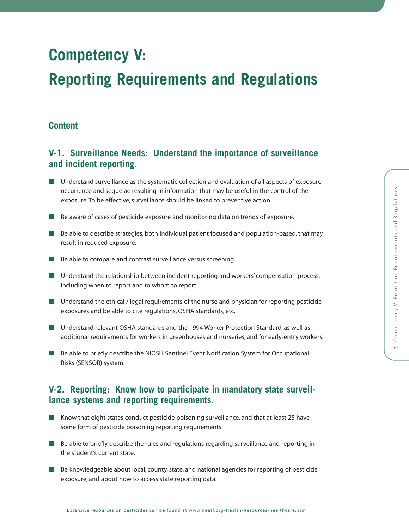# **Competency V:**

# **Reporting Requirements and Regulations**

# **Content**

# **V-1. Surveillance Needs: Understand the importance of surveillance and incident reporting.**

- Understand surveillance as the systematic collection and evaluation of all aspects of exposure occurrence and sequelae resulting in information that may be useful in the control of the exposure. To be effective, surveillance should be linked to preventive action.
- Be aware of cases of pesticide exposure and monitoring data on trends of exposure.
- Be able to describe strategies, both individual patient focused and population-based, that may result in reduced exposure.
- Be able to compare and contrast surveillance versus screening.
- Understand the relationship between incident reporting and workers' compensation process, including when to report and to whom to report.
- Understand the ethical / legal requirements of the nurse and physician for reporting pesticide exposures and be able to cite regulations, OSHA standards, etc.
- Understand relevant OSHA standards and the 1994 Worker Protection Standard, as well as additional requirements for workers in greenhouses and nurseries, and for early-entry workers.
- Be able to briefly describe the NIOSH Sentinel Event Notification System for Occupational Risks (SENSOR) system.

# **V-2. Reporting: Know how to participate in mandatory state surveillance systems and reporting requirements.**

- Know that eight states conduct pesticide poisoning surveillance, and that at least 25 have some form of pesticide poisoning reporting requirements.
- Be able to briefly describe the rules and regulations regarding surveillance and reporting in the student's current state.
- Be knowledgeable about local, county, state, and national agencies for reporting of pesticide exposure, and about how to access state reporting data.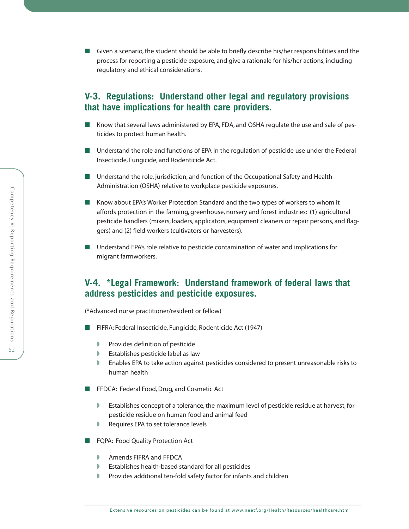■ Given a scenario, the student should be able to briefly describe his/her responsibilities and the process for reporting a pesticide exposure, and give a rationale for his/her actions, including regulatory and ethical considerations.

# **V-3. Regulations: Understand other legal and regulatory provisions that have implications for health care providers.**

- Know that several laws administered by EPA, FDA, and OSHA regulate the use and sale of pesticides to protect human health.
- Understand the role and functions of EPA in the regulation of pesticide use under the Federal Insecticide, Fungicide, and Rodenticide Act.
- Understand the role, jurisdiction, and function of the Occupational Safety and Health Administration (OSHA) relative to workplace pesticide exposures.
- Know about EPA's Worker Protection Standard and the two types of workers to whom it affords protection in the farming, greenhouse, nursery and forest industries: (1) agricultural pesticide handlers (mixers, loaders, applicators, equipment cleaners or repair persons, and flaggers) and (2) field workers (cultivators or harvesters).
- Understand EPA's role relative to pesticide contamination of water and implications for migrant farmworkers.

# **V-4. \*Legal Framework: Understand framework of federal laws that address pesticides and pesticide exposures.**

(\*Advanced nurse practitioner/resident or fellow)

- FIFRA: Federal Insecticide, Fungicide, Rodenticide Act (1947)
	- ◗ Provides definition of pesticide
	- ◗ Establishes pesticide label as law
	- ◗ Enables EPA to take action against pesticides considered to present unreasonable risks to human health
- FFDCA: Federal Food, Drug, and Cosmetic Act
	- ◗ Establishes concept of a tolerance, the maximum level of pesticide residue at harvest, for pesticide residue on human food and animal feed
	- Requires EPA to set tolerance levels
- FQPA: Food Quality Protection Act
	- ◗ Amends FIFRA and FFDCA
	- ◗ Establishes health-based standard for all pesticides
	- ◗ Provides additional ten-fold safety factor for infants and children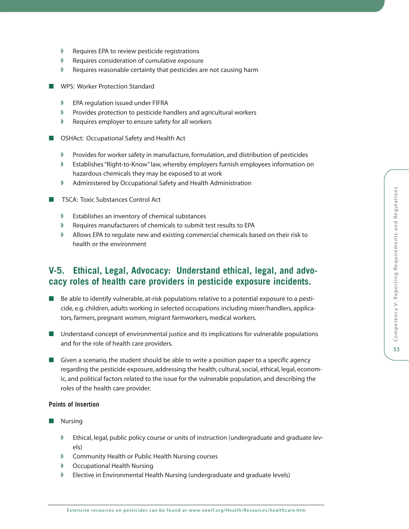- ◗ Requires EPA to review pesticide registrations
- ◗ Requires consideration of cumulative exposure
- Requires reasonable certainty that pesticides are not causing harm
- WPS: Worker Protection Standard
	- ◗ EPA regulation issued under FIFRA
	- ◗ Provides protection to pesticide handlers and agricultural workers
	- ◗ Requires employer to ensure safety for all workers
- OSHAct: Occupational Safety and Health Act
	- ◗ Provides for worker safety in manufacture, formulation, and distribution of pesticides
	- ◗ Establishes "Right-to-Know" law, whereby employers furnish employees information on hazardous chemicals they may be exposed to at work
	- ◗ Administered by Occupational Safety and Health Administration
- TSCA: Toxic Substances Control Act
	- ◗ Establishes an inventory of chemical substances
	- ◗ Requires manufacturers of chemicals to submit test results to EPA
	- Allows EPA to regulate new and existing commercial chemicals based on their risk to health or the environment

# **V-5. Ethical, Legal, Advocacy: Understand ethical, legal, and advocacy roles of health care providers in pesticide exposure incidents.**

- Be able to identify vulnerable, at-risk populations relative to a potential exposure to a pesticide, e.g. children, adults working in selected occupations including mixer/handlers, applicators, farmers, pregnant women, migrant farmworkers, medical workers.
- Understand concept of environmental justice and its implications for vulnerable populations and for the role of health care providers.
- Given a scenario, the student should be able to write a position paper to a specific agency regarding the pesticide exposure, addressing the health, cultural, social, ethical, legal, economic, and political factors related to the issue for the vulnerable population, and describing the roles of the health care provider.

## **Points of Insertion**

- Nursing
	- ◗ Ethical, legal, public policy course or units of instruction (undergraduate and graduate levels)
	- ◗ Community Health or Public Health Nursing courses
	- ◗ Occupational Health Nursing
	- Elective in Environmental Health Nursing (undergraduate and graduate levels)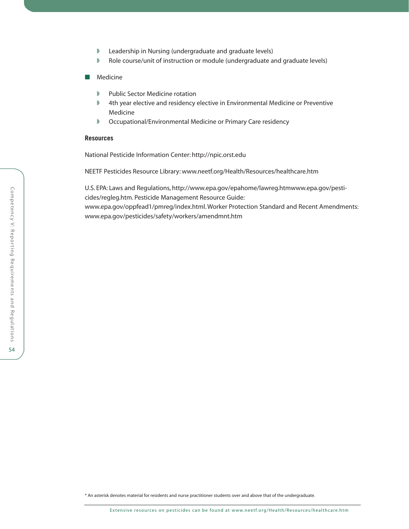- ◗ Leadership in Nursing (undergraduate and graduate levels)
- Role course/unit of instruction or module (undergraduate and graduate levels)
- Medicine
	- ◗ Public Sector Medicine rotation
	- ◗ 4th year elective and residency elective in Environmental Medicine or Preventive Medicine
	- ◗ Occupational/Environmental Medicine or Primary Care residency

### **Resources**

National Pesticide Information Center:<http://npic.orst.edu>

NEETF Pesticides Resource Library: [www.neetf.org/Health/Resources/healthcare.htm](http://www.neetf.org/Health/Resources/healthcare.htm)

U.S. EPA: Laws and Regulations, [http://www.epa.gov/epahome/lawreg.htmwww.epa.gov/pesti](http://www.epa.gov/epahome/lawreg.htmwww.epa.gov/pesticides/regleg.htm)[cides/regleg.htm.](http://www.epa.gov/epahome/lawreg.htmwww.epa.gov/pesticides/regleg.htm) Pesticide Management Resource Guide: [www.epa.gov/oppfead1/pmreg/index.html.](http://www.epa.gov/oppfead1/pmreg/index.html) Worker Protection Standard and Recent Amendments: [www.epa.gov/pesticides/safety/workers/amendmnt.htm](http://www.epa.gov/pesticides/safety/workers/amendmnt.htm)